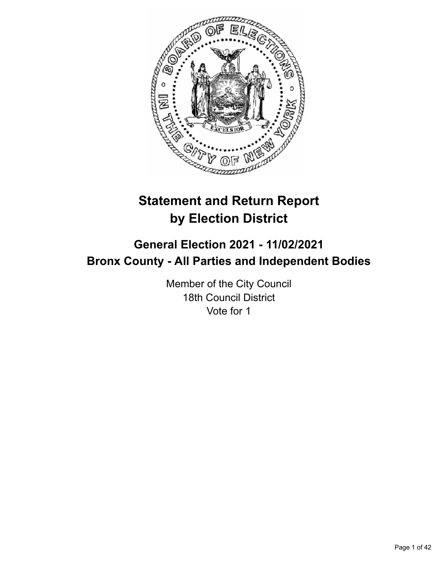

# **Statement and Return Report by Election District**

# **General Election 2021 - 11/02/2021 Bronx County - All Parties and Independent Bodies**

Member of the City Council 18th Council District Vote for 1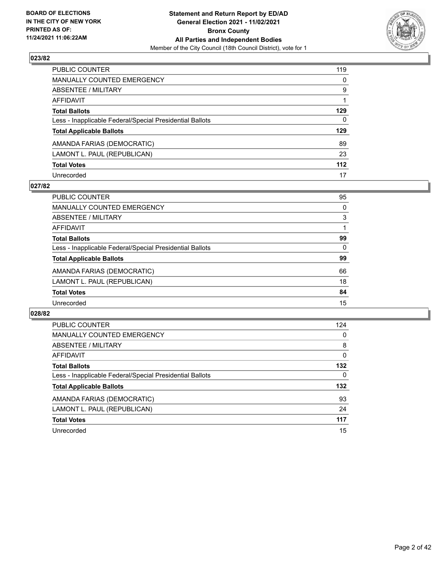

| PUBLIC COUNTER                                           | 119          |
|----------------------------------------------------------|--------------|
| <b>MANUALLY COUNTED EMERGENCY</b>                        | $\mathbf{0}$ |
| <b>ABSENTEE / MILITARY</b>                               | 9            |
| <b>AFFIDAVIT</b>                                         |              |
| <b>Total Ballots</b>                                     | 129          |
| Less - Inapplicable Federal/Special Presidential Ballots | $\mathbf{0}$ |
| <b>Total Applicable Ballots</b>                          | 129          |
| AMANDA FARIAS (DEMOCRATIC)                               | 89           |
| LAMONT L. PAUL (REPUBLICAN)                              | 23           |
| <b>Total Votes</b>                                       | 112          |
| Unrecorded                                               | 17           |

## **027/82**

| <b>PUBLIC COUNTER</b>                                    | 95       |
|----------------------------------------------------------|----------|
| <b>MANUALLY COUNTED EMERGENCY</b>                        | 0        |
| ABSENTEE / MILITARY                                      | 3        |
| AFFIDAVIT                                                |          |
| <b>Total Ballots</b>                                     | 99       |
| Less - Inapplicable Federal/Special Presidential Ballots | $\Omega$ |
| <b>Total Applicable Ballots</b>                          | 99       |
| AMANDA FARIAS (DEMOCRATIC)                               | 66       |
| LAMONT L. PAUL (REPUBLICAN)                              | 18       |
| <b>Total Votes</b>                                       | 84       |
| Unrecorded                                               | 15       |

| PUBLIC COUNTER                                           | 124      |
|----------------------------------------------------------|----------|
| <b>MANUALLY COUNTED EMERGENCY</b>                        | 0        |
| ABSENTEE / MILITARY                                      | 8        |
| <b>AFFIDAVIT</b>                                         | $\Omega$ |
| <b>Total Ballots</b>                                     | 132      |
| Less - Inapplicable Federal/Special Presidential Ballots | 0        |
| <b>Total Applicable Ballots</b>                          | 132      |
| AMANDA FARIAS (DEMOCRATIC)                               | 93       |
| LAMONT L. PAUL (REPUBLICAN)                              | 24       |
| <b>Total Votes</b>                                       | 117      |
| Unrecorded                                               | 15       |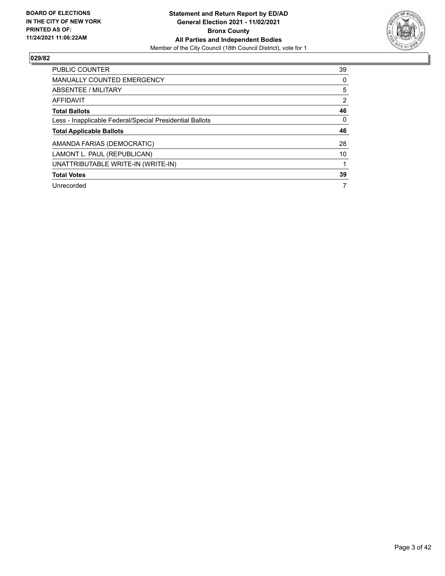

| PUBLIC COUNTER                                           | 39 |
|----------------------------------------------------------|----|
| <b>MANUALLY COUNTED EMERGENCY</b>                        | 0  |
| ABSENTEE / MILITARY                                      | 5  |
| <b>AFFIDAVIT</b>                                         | 2  |
| <b>Total Ballots</b>                                     | 46 |
| Less - Inapplicable Federal/Special Presidential Ballots | 0  |
| <b>Total Applicable Ballots</b>                          | 46 |
| AMANDA FARIAS (DEMOCRATIC)                               | 28 |
| LAMONT L. PAUL (REPUBLICAN)                              | 10 |
| UNATTRIBUTABLE WRITE-IN (WRITE-IN)                       |    |
| <b>Total Votes</b>                                       | 39 |
| Unrecorded                                               | 7  |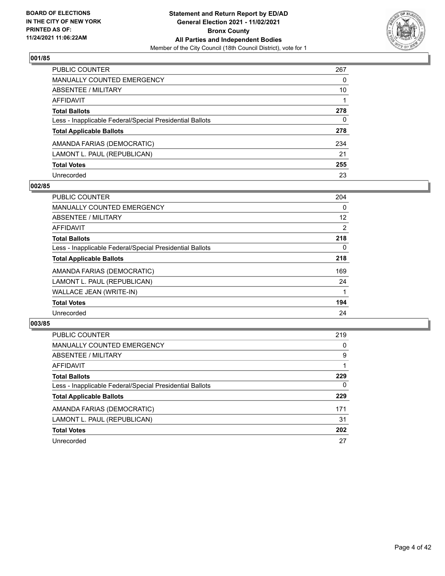

| PUBLIC COUNTER                                           | 267 |
|----------------------------------------------------------|-----|
| <b>MANUALLY COUNTED EMERGENCY</b>                        | 0   |
| <b>ABSENTEE / MILITARY</b>                               | 10  |
| AFFIDAVIT                                                |     |
| <b>Total Ballots</b>                                     | 278 |
| Less - Inapplicable Federal/Special Presidential Ballots | 0   |
| <b>Total Applicable Ballots</b>                          | 278 |
| AMANDA FARIAS (DEMOCRATIC)                               | 234 |
| LAMONT L. PAUL (REPUBLICAN)                              | 21  |
| <b>Total Votes</b>                                       | 255 |
| Unrecorded                                               | 23  |

## **002/85**

| <b>PUBLIC COUNTER</b>                                    | 204 |
|----------------------------------------------------------|-----|
| <b>MANUALLY COUNTED EMERGENCY</b>                        | 0   |
| ABSENTEE / MILITARY                                      | 12  |
| AFFIDAVIT                                                | 2   |
| <b>Total Ballots</b>                                     | 218 |
| Less - Inapplicable Federal/Special Presidential Ballots | 0   |
| <b>Total Applicable Ballots</b>                          | 218 |
| AMANDA FARIAS (DEMOCRATIC)                               | 169 |
| LAMONT L. PAUL (REPUBLICAN)                              | 24  |
| WALLACE JEAN (WRITE-IN)                                  |     |
| <b>Total Votes</b>                                       | 194 |
| Unrecorded                                               | 24  |

| <b>PUBLIC COUNTER</b>                                    | 219      |
|----------------------------------------------------------|----------|
| MANUALLY COUNTED EMERGENCY                               | 0        |
| ABSENTEE / MILITARY                                      | 9        |
| AFFIDAVIT                                                |          |
| <b>Total Ballots</b>                                     | 229      |
| Less - Inapplicable Federal/Special Presidential Ballots | $\Omega$ |
| <b>Total Applicable Ballots</b>                          | 229      |
| AMANDA FARIAS (DEMOCRATIC)                               | 171      |
| LAMONT L. PAUL (REPUBLICAN)                              | 31       |
| <b>Total Votes</b>                                       | 202      |
| Unrecorded                                               | 27       |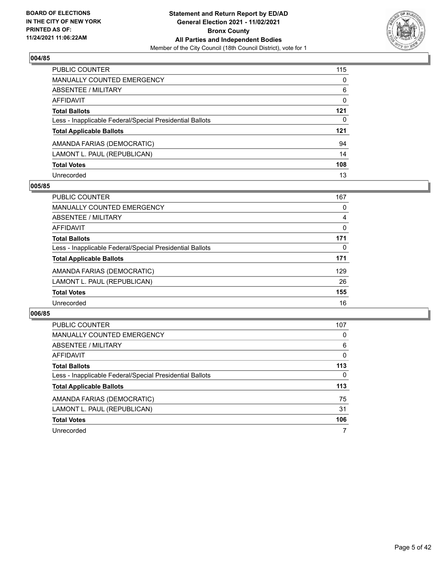

| PUBLIC COUNTER                                           | 115      |
|----------------------------------------------------------|----------|
| <b>MANUALLY COUNTED EMERGENCY</b>                        | $\Omega$ |
| ABSENTEE / MILITARY                                      | 6        |
| AFFIDAVIT                                                | 0        |
| <b>Total Ballots</b>                                     | $121$    |
| Less - Inapplicable Federal/Special Presidential Ballots | 0        |
| <b>Total Applicable Ballots</b>                          | 121      |
| AMANDA FARIAS (DEMOCRATIC)                               | 94       |
| LAMONT L. PAUL (REPUBLICAN)                              | 14       |
| <b>Total Votes</b>                                       | 108      |
| Unrecorded                                               | 13       |

## **005/85**

| PUBLIC COUNTER                                           | 167      |
|----------------------------------------------------------|----------|
| <b>MANUALLY COUNTED EMERGENCY</b>                        | 0        |
| ABSENTEE / MILITARY                                      | 4        |
| <b>AFFIDAVIT</b>                                         | $\Omega$ |
| <b>Total Ballots</b>                                     | 171      |
| Less - Inapplicable Federal/Special Presidential Ballots | 0        |
| <b>Total Applicable Ballots</b>                          | 171      |
| AMANDA FARIAS (DEMOCRATIC)                               | 129      |
| LAMONT L. PAUL (REPUBLICAN)                              | 26       |
| <b>Total Votes</b>                                       | 155      |
| Unrecorded                                               | 16       |

| PUBLIC COUNTER                                           | 107 |
|----------------------------------------------------------|-----|
| <b>MANUALLY COUNTED EMERGENCY</b>                        | 0   |
| ABSENTEE / MILITARY                                      | 6   |
| AFFIDAVIT                                                | 0   |
| <b>Total Ballots</b>                                     | 113 |
| Less - Inapplicable Federal/Special Presidential Ballots | 0   |
| <b>Total Applicable Ballots</b>                          | 113 |
| AMANDA FARIAS (DEMOCRATIC)                               | 75  |
| LAMONT L. PAUL (REPUBLICAN)                              | 31  |
| <b>Total Votes</b>                                       | 106 |
| Unrecorded                                               |     |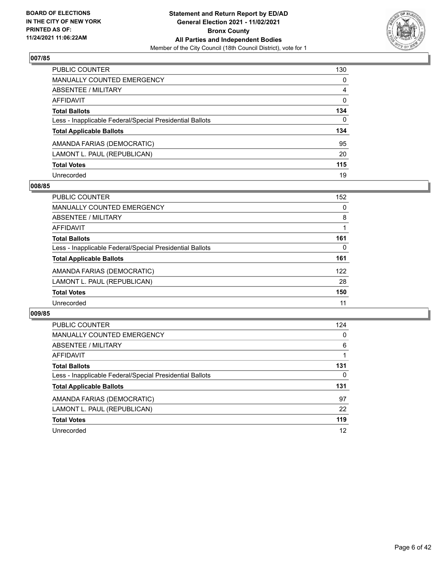

| <b>PUBLIC COUNTER</b>                                    | 130          |
|----------------------------------------------------------|--------------|
| <b>MANUALLY COUNTED EMERGENCY</b>                        | $\Omega$     |
| <b>ABSENTEE / MILITARY</b>                               | 4            |
| AFFIDAVIT                                                | $\Omega$     |
| <b>Total Ballots</b>                                     | 134          |
| Less - Inapplicable Federal/Special Presidential Ballots | $\mathbf{0}$ |
| <b>Total Applicable Ballots</b>                          | 134          |
| AMANDA FARIAS (DEMOCRATIC)                               | 95           |
| LAMONT L. PAUL (REPUBLICAN)                              | 20           |
| <b>Total Votes</b>                                       | 115          |
| Unrecorded                                               | 19           |

## **008/85**

| PUBLIC COUNTER                                           | 152 |
|----------------------------------------------------------|-----|
| <b>MANUALLY COUNTED EMERGENCY</b>                        | 0   |
| ABSENTEE / MILITARY                                      | 8   |
| AFFIDAVIT                                                |     |
| <b>Total Ballots</b>                                     | 161 |
| Less - Inapplicable Federal/Special Presidential Ballots | 0   |
| <b>Total Applicable Ballots</b>                          | 161 |
| AMANDA FARIAS (DEMOCRATIC)                               | 122 |
| LAMONT L. PAUL (REPUBLICAN)                              | 28  |
| <b>Total Votes</b>                                       | 150 |
| Unrecorded                                               | 11  |

| <b>PUBLIC COUNTER</b>                                    | 124 |
|----------------------------------------------------------|-----|
| <b>MANUALLY COUNTED EMERGENCY</b>                        | 0   |
| <b>ABSENTEE / MILITARY</b>                               | 6   |
| AFFIDAVIT                                                |     |
| <b>Total Ballots</b>                                     | 131 |
| Less - Inapplicable Federal/Special Presidential Ballots | 0   |
| <b>Total Applicable Ballots</b>                          | 131 |
| AMANDA FARIAS (DEMOCRATIC)                               | 97  |
| LAMONT L. PAUL (REPUBLICAN)                              | 22  |
| <b>Total Votes</b>                                       | 119 |
| Unrecorded                                               | 12  |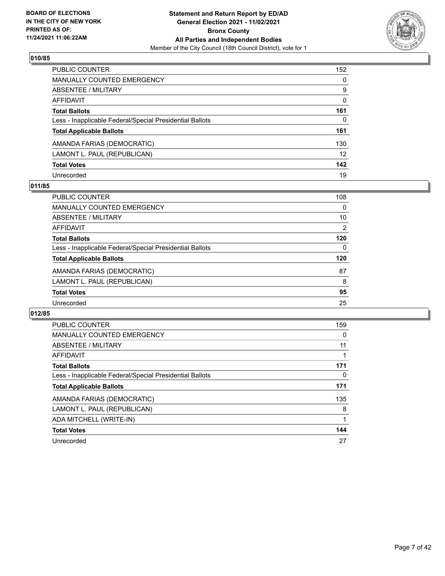

| <b>PUBLIC COUNTER</b>                                    | 152      |
|----------------------------------------------------------|----------|
| <b>MANUALLY COUNTED EMERGENCY</b>                        | $\Omega$ |
| ABSENTEE / MILITARY                                      | 9        |
| <b>AFFIDAVIT</b>                                         | $\Omega$ |
| <b>Total Ballots</b>                                     | 161      |
| Less - Inapplicable Federal/Special Presidential Ballots | 0        |
| <b>Total Applicable Ballots</b>                          | 161      |
| AMANDA FARIAS (DEMOCRATIC)                               | 130      |
| LAMONT L. PAUL (REPUBLICAN)                              | 12       |
| <b>Total Votes</b>                                       | 142      |
| Unrecorded                                               | 19       |

## **011/85**

| PUBLIC COUNTER                                           | 108      |
|----------------------------------------------------------|----------|
| MANUALLY COUNTED EMERGENCY                               | $\Omega$ |
| ABSENTEE / MILITARY                                      | 10       |
| AFFIDAVIT                                                | 2        |
| <b>Total Ballots</b>                                     | 120      |
| Less - Inapplicable Federal/Special Presidential Ballots | $\Omega$ |
| <b>Total Applicable Ballots</b>                          | 120      |
| AMANDA FARIAS (DEMOCRATIC)                               | 87       |
| LAMONT L. PAUL (REPUBLICAN)                              | 8        |
| <b>Total Votes</b>                                       | 95       |
| Unrecorded                                               | 25       |

| <b>PUBLIC COUNTER</b>                                    | 159 |
|----------------------------------------------------------|-----|
| <b>MANUALLY COUNTED EMERGENCY</b>                        | 0   |
| ABSENTEE / MILITARY                                      | 11  |
| <b>AFFIDAVIT</b>                                         |     |
| <b>Total Ballots</b>                                     | 171 |
| Less - Inapplicable Federal/Special Presidential Ballots | 0   |
| <b>Total Applicable Ballots</b>                          | 171 |
| AMANDA FARIAS (DEMOCRATIC)                               | 135 |
| LAMONT L. PAUL (REPUBLICAN)                              | 8   |
| ADA MITCHELL (WRITE-IN)                                  |     |
| <b>Total Votes</b>                                       | 144 |
| Unrecorded                                               | 27  |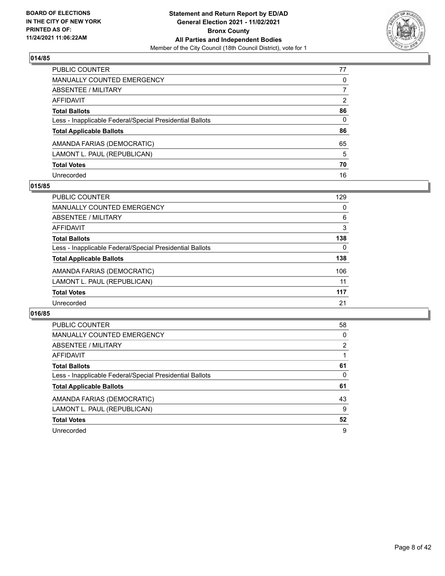

| PUBLIC COUNTER                                           | 77             |
|----------------------------------------------------------|----------------|
| <b>MANUALLY COUNTED EMERGENCY</b>                        | $\Omega$       |
| <b>ABSENTEE / MILITARY</b>                               | 7              |
| <b>AFFIDAVIT</b>                                         | $\overline{2}$ |
| <b>Total Ballots</b>                                     | 86             |
| Less - Inapplicable Federal/Special Presidential Ballots | $\mathbf{0}$   |
| <b>Total Applicable Ballots</b>                          | 86             |
| AMANDA FARIAS (DEMOCRATIC)                               | 65             |
| LAMONT L. PAUL (REPUBLICAN)                              | 5              |
| <b>Total Votes</b>                                       | 70             |
| Unrecorded                                               | 16             |

## **015/85**

| PUBLIC COUNTER                                           | 129 |
|----------------------------------------------------------|-----|
| MANUALLY COUNTED EMERGENCY                               | 0   |
| <b>ABSENTEE / MILITARY</b>                               | 6   |
| AFFIDAVIT                                                | 3   |
| <b>Total Ballots</b>                                     | 138 |
| Less - Inapplicable Federal/Special Presidential Ballots | 0   |
| <b>Total Applicable Ballots</b>                          | 138 |
| AMANDA FARIAS (DEMOCRATIC)                               | 106 |
| LAMONT L. PAUL (REPUBLICAN)                              | 11  |
| <b>Total Votes</b>                                       | 117 |
| Unrecorded                                               | 21  |

| <b>PUBLIC COUNTER</b>                                    | 58 |
|----------------------------------------------------------|----|
| <b>MANUALLY COUNTED EMERGENCY</b>                        | 0  |
| ABSENTEE / MILITARY                                      | 2  |
| AFFIDAVIT                                                |    |
| <b>Total Ballots</b>                                     | 61 |
| Less - Inapplicable Federal/Special Presidential Ballots | 0  |
| <b>Total Applicable Ballots</b>                          | 61 |
| AMANDA FARIAS (DEMOCRATIC)                               | 43 |
| LAMONT L. PAUL (REPUBLICAN)                              | 9  |
| <b>Total Votes</b>                                       | 52 |
| Unrecorded                                               | 9  |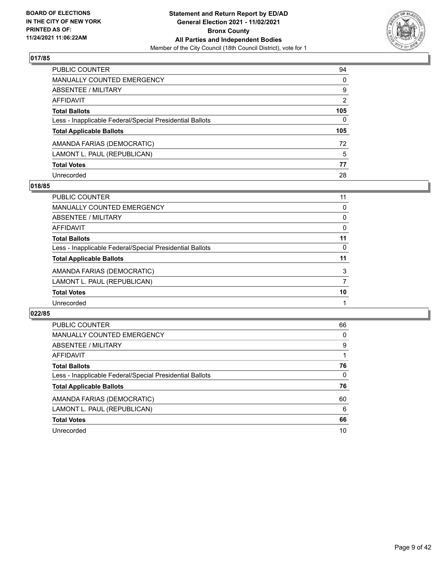

| PUBLIC COUNTER                                           | 94             |
|----------------------------------------------------------|----------------|
| <b>MANUALLY COUNTED EMERGENCY</b>                        | $\mathbf{0}$   |
| <b>ABSENTEE / MILITARY</b>                               | 9              |
| <b>AFFIDAVIT</b>                                         | $\overline{2}$ |
| <b>Total Ballots</b>                                     | 105            |
| Less - Inapplicable Federal/Special Presidential Ballots | $\Omega$       |
| <b>Total Applicable Ballots</b>                          | 105            |
| AMANDA FARIAS (DEMOCRATIC)                               | 72             |
| LAMONT L. PAUL (REPUBLICAN)                              | 5              |
| <b>Total Votes</b>                                       | 77             |
| Unrecorded                                               | 28             |

## **018/85**

| <b>PUBLIC COUNTER</b>                                    | 11 |
|----------------------------------------------------------|----|
| MANUALLY COUNTED EMERGENCY                               | 0  |
| ABSENTEE / MILITARY                                      | 0  |
| AFFIDAVIT                                                | 0  |
| <b>Total Ballots</b>                                     | 11 |
| Less - Inapplicable Federal/Special Presidential Ballots | 0  |
| <b>Total Applicable Ballots</b>                          | 11 |
| AMANDA FARIAS (DEMOCRATIC)                               | 3  |
| LAMONT L. PAUL (REPUBLICAN)                              |    |
| <b>Total Votes</b>                                       | 10 |
| Unrecorded                                               |    |

| PUBLIC COUNTER                                           | 66       |
|----------------------------------------------------------|----------|
| <b>MANUALLY COUNTED EMERGENCY</b>                        | $\Omega$ |
| ABSENTEE / MILITARY                                      | 9        |
| AFFIDAVIT                                                |          |
| <b>Total Ballots</b>                                     | 76       |
| Less - Inapplicable Federal/Special Presidential Ballots | $\Omega$ |
| <b>Total Applicable Ballots</b>                          | 76       |
| AMANDA FARIAS (DEMOCRATIC)                               | 60       |
| LAMONT L. PAUL (REPUBLICAN)                              | 6        |
| <b>Total Votes</b>                                       | 66       |
| Unrecorded                                               | 10       |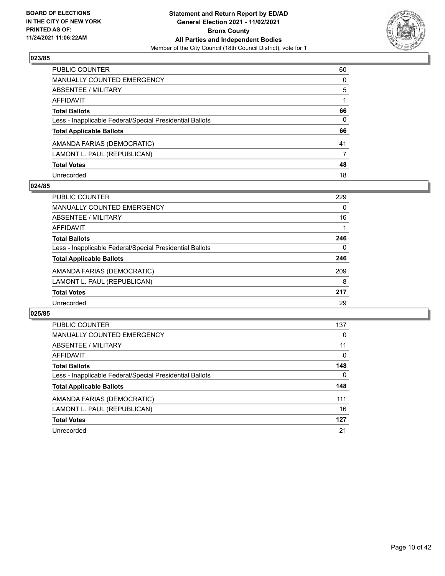

| PUBLIC COUNTER                                           | 60       |
|----------------------------------------------------------|----------|
| <b>MANUALLY COUNTED EMERGENCY</b>                        | $\Omega$ |
| ABSENTEE / MILITARY                                      | 5        |
| <b>AFFIDAVIT</b>                                         |          |
| <b>Total Ballots</b>                                     | 66       |
| Less - Inapplicable Federal/Special Presidential Ballots | 0        |
| <b>Total Applicable Ballots</b>                          | 66       |
| AMANDA FARIAS (DEMOCRATIC)                               | 41       |
| LAMONT L. PAUL (REPUBLICAN)                              | 7        |
| <b>Total Votes</b>                                       | 48       |
| Unrecorded                                               | 18       |

## **024/85**

| PUBLIC COUNTER                                           | 229      |
|----------------------------------------------------------|----------|
| <b>MANUALLY COUNTED EMERGENCY</b>                        | $\Omega$ |
| ABSENTEE / MILITARY                                      | 16       |
| <b>AFFIDAVIT</b>                                         |          |
| <b>Total Ballots</b>                                     | 246      |
| Less - Inapplicable Federal/Special Presidential Ballots | 0        |
| <b>Total Applicable Ballots</b>                          | 246      |
| AMANDA FARIAS (DEMOCRATIC)                               | 209      |
| LAMONT L. PAUL (REPUBLICAN)                              | 8        |
| <b>Total Votes</b>                                       | 217      |
| Unrecorded                                               | 29       |

| <b>PUBLIC COUNTER</b>                                    | 137      |
|----------------------------------------------------------|----------|
| <b>MANUALLY COUNTED EMERGENCY</b>                        | 0        |
| ABSENTEE / MILITARY                                      | 11       |
| <b>AFFIDAVIT</b>                                         | 0        |
| <b>Total Ballots</b>                                     | 148      |
| Less - Inapplicable Federal/Special Presidential Ballots | $\Omega$ |
| <b>Total Applicable Ballots</b>                          | 148      |
| AMANDA FARIAS (DEMOCRATIC)                               | 111      |
| LAMONT L. PAUL (REPUBLICAN)                              | 16       |
| <b>Total Votes</b>                                       | 127      |
| Unrecorded                                               | 21       |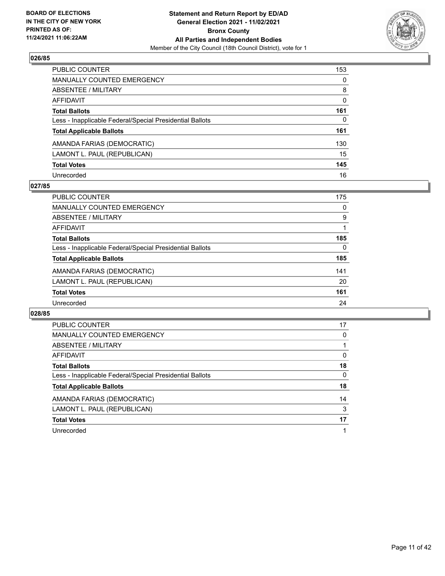

| PUBLIC COUNTER                                           | 153      |
|----------------------------------------------------------|----------|
| <b>MANUALLY COUNTED EMERGENCY</b>                        | $\Omega$ |
| ABSENTEE / MILITARY                                      | 8        |
| <b>AFFIDAVIT</b>                                         | $\Omega$ |
| <b>Total Ballots</b>                                     | 161      |
| Less - Inapplicable Federal/Special Presidential Ballots | 0        |
| <b>Total Applicable Ballots</b>                          | 161      |
| AMANDA FARIAS (DEMOCRATIC)                               | 130      |
| LAMONT L. PAUL (REPUBLICAN)                              | 15       |
| <b>Total Votes</b>                                       | 145      |
| Unrecorded                                               | 16       |

## **027/85**

| PUBLIC COUNTER                                           | 175 |
|----------------------------------------------------------|-----|
| <b>MANUALLY COUNTED EMERGENCY</b>                        | 0   |
| ABSENTEE / MILITARY                                      | 9   |
| AFFIDAVIT                                                |     |
| <b>Total Ballots</b>                                     | 185 |
| Less - Inapplicable Federal/Special Presidential Ballots | 0   |
| <b>Total Applicable Ballots</b>                          | 185 |
| AMANDA FARIAS (DEMOCRATIC)                               | 141 |
| LAMONT L. PAUL (REPUBLICAN)                              | 20  |
| <b>Total Votes</b>                                       | 161 |
| Unrecorded                                               | 24  |

| PUBLIC COUNTER                                           | 17       |
|----------------------------------------------------------|----------|
| <b>MANUALLY COUNTED EMERGENCY</b>                        | 0        |
| ABSENTEE / MILITARY                                      |          |
| <b>AFFIDAVIT</b>                                         | 0        |
| <b>Total Ballots</b>                                     | 18       |
| Less - Inapplicable Federal/Special Presidential Ballots | $\Omega$ |
| <b>Total Applicable Ballots</b>                          | 18       |
| AMANDA FARIAS (DEMOCRATIC)                               | 14       |
| LAMONT L. PAUL (REPUBLICAN)                              | 3        |
| <b>Total Votes</b>                                       | 17       |
| Unrecorded                                               |          |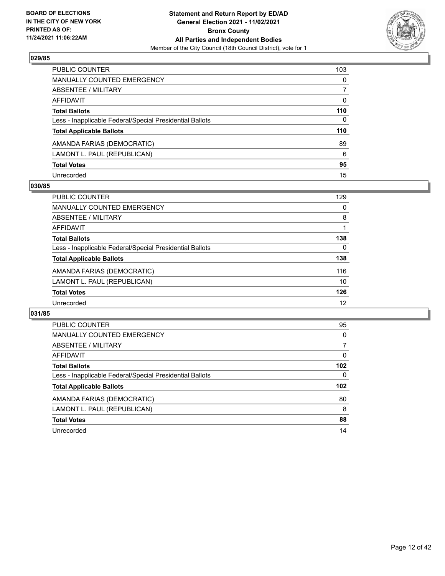

| PUBLIC COUNTER                                           | 103          |
|----------------------------------------------------------|--------------|
| <b>MANUALLY COUNTED EMERGENCY</b>                        | $\Omega$     |
| ABSENTEE / MILITARY                                      | 7            |
| <b>AFFIDAVIT</b>                                         | $\Omega$     |
| <b>Total Ballots</b>                                     | 110          |
| Less - Inapplicable Federal/Special Presidential Ballots | $\mathbf{0}$ |
| <b>Total Applicable Ballots</b>                          | 110          |
| AMANDA FARIAS (DEMOCRATIC)                               | 89           |
| LAMONT L. PAUL (REPUBLICAN)                              | 6            |
| <b>Total Votes</b>                                       | 95           |
| Unrecorded                                               | 15           |

## **030/85**

| PUBLIC COUNTER                                           | 129      |
|----------------------------------------------------------|----------|
| <b>MANUALLY COUNTED EMERGENCY</b>                        | 0        |
| ABSENTEE / MILITARY                                      | 8        |
| AFFIDAVIT                                                |          |
| <b>Total Ballots</b>                                     | 138      |
| Less - Inapplicable Federal/Special Presidential Ballots | $\Omega$ |
| <b>Total Applicable Ballots</b>                          | 138      |
| AMANDA FARIAS (DEMOCRATIC)                               | 116      |
| LAMONT L. PAUL (REPUBLICAN)                              | 10       |
| <b>Total Votes</b>                                       | 126      |
| Unrecorded                                               | 12       |

| PUBLIC COUNTER                                           | 95       |
|----------------------------------------------------------|----------|
| <b>MANUALLY COUNTED EMERGENCY</b>                        | $\Omega$ |
| ABSENTEE / MILITARY                                      | 7        |
| AFFIDAVIT                                                | 0        |
| <b>Total Ballots</b>                                     | 102      |
| Less - Inapplicable Federal/Special Presidential Ballots | 0        |
| <b>Total Applicable Ballots</b>                          | 102      |
| AMANDA FARIAS (DEMOCRATIC)                               | 80       |
| LAMONT L. PAUL (REPUBLICAN)                              | 8        |
| <b>Total Votes</b>                                       | 88       |
| Unrecorded                                               | 14       |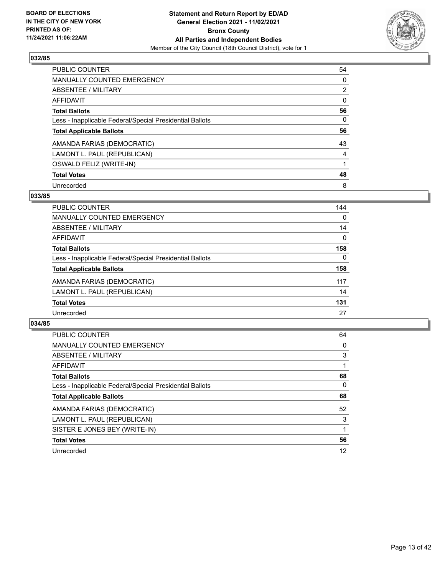

| <b>PUBLIC COUNTER</b>                                    | 54             |
|----------------------------------------------------------|----------------|
| <b>MANUALLY COUNTED EMERGENCY</b>                        | 0              |
| ABSENTEE / MILITARY                                      | $\overline{2}$ |
| <b>AFFIDAVIT</b>                                         | $\Omega$       |
| <b>Total Ballots</b>                                     | 56             |
| Less - Inapplicable Federal/Special Presidential Ballots | $\Omega$       |
| <b>Total Applicable Ballots</b>                          | 56             |
| AMANDA FARIAS (DEMOCRATIC)                               | 43             |
| LAMONT L. PAUL (REPUBLICAN)                              | 4              |
| OSWALD FELIZ (WRITE-IN)                                  |                |
| <b>Total Votes</b>                                       | 48             |
| Unrecorded                                               | 8              |

## **033/85**

| <b>PUBLIC COUNTER</b>                                    | 144      |
|----------------------------------------------------------|----------|
| MANUALLY COUNTED EMERGENCY                               | 0        |
| ABSENTEE / MILITARY                                      | 14       |
| <b>AFFIDAVIT</b>                                         | 0        |
| <b>Total Ballots</b>                                     | 158      |
| Less - Inapplicable Federal/Special Presidential Ballots | $\Omega$ |
| <b>Total Applicable Ballots</b>                          | 158      |
| AMANDA FARIAS (DEMOCRATIC)                               | 117      |
| LAMONT L. PAUL (REPUBLICAN)                              | 14       |
| <b>Total Votes</b>                                       | 131      |
| Unrecorded                                               | 27       |

| <b>PUBLIC COUNTER</b>                                    | 64 |
|----------------------------------------------------------|----|
| <b>MANUALLY COUNTED EMERGENCY</b>                        | 0  |
| ABSENTEE / MILITARY                                      | 3  |
| AFFIDAVIT                                                |    |
| <b>Total Ballots</b>                                     | 68 |
| Less - Inapplicable Federal/Special Presidential Ballots | 0  |
| <b>Total Applicable Ballots</b>                          | 68 |
| AMANDA FARIAS (DEMOCRATIC)                               | 52 |
| LAMONT L. PAUL (REPUBLICAN)                              | 3  |
| SISTER E JONES BEY (WRITE-IN)                            |    |
| <b>Total Votes</b>                                       | 56 |
| Unrecorded                                               | 12 |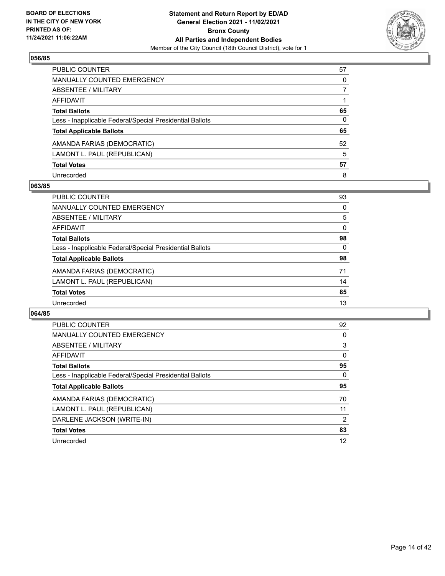

| PUBLIC COUNTER                                           | 57       |
|----------------------------------------------------------|----------|
| <b>MANUALLY COUNTED EMERGENCY</b>                        | $\Omega$ |
| <b>ABSENTEE / MILITARY</b>                               |          |
| <b>AFFIDAVIT</b>                                         |          |
| <b>Total Ballots</b>                                     | 65       |
| Less - Inapplicable Federal/Special Presidential Ballots | 0        |
| <b>Total Applicable Ballots</b>                          | 65       |
| AMANDA FARIAS (DEMOCRATIC)                               | 52       |
| LAMONT L. PAUL (REPUBLICAN)                              | 5        |
| <b>Total Votes</b>                                       | 57       |
| Unrecorded                                               | 8        |

## **063/85**

| PUBLIC COUNTER                                           | 93       |
|----------------------------------------------------------|----------|
| <b>MANUALLY COUNTED EMERGENCY</b>                        | 0        |
| ABSENTEE / MILITARY                                      | 5        |
| AFFIDAVIT                                                | 0        |
| <b>Total Ballots</b>                                     | 98       |
| Less - Inapplicable Federal/Special Presidential Ballots | $\Omega$ |
| <b>Total Applicable Ballots</b>                          | 98       |
| AMANDA FARIAS (DEMOCRATIC)                               | 71       |
| LAMONT L. PAUL (REPUBLICAN)                              | 14       |
| <b>Total Votes</b>                                       | 85       |
| Unrecorded                                               | 13       |

| PUBLIC COUNTER                                           | 92       |
|----------------------------------------------------------|----------|
| MANUALLY COUNTED EMERGENCY                               | 0        |
| ABSENTEE / MILITARY                                      | 3        |
| <b>AFFIDAVIT</b>                                         | $\Omega$ |
| <b>Total Ballots</b>                                     | 95       |
| Less - Inapplicable Federal/Special Presidential Ballots | 0        |
| <b>Total Applicable Ballots</b>                          | 95       |
| AMANDA FARIAS (DEMOCRATIC)                               | 70       |
| LAMONT L. PAUL (REPUBLICAN)                              | 11       |
|                                                          |          |
| DARLENE JACKSON (WRITE-IN)                               | 2        |
| <b>Total Votes</b>                                       | 83       |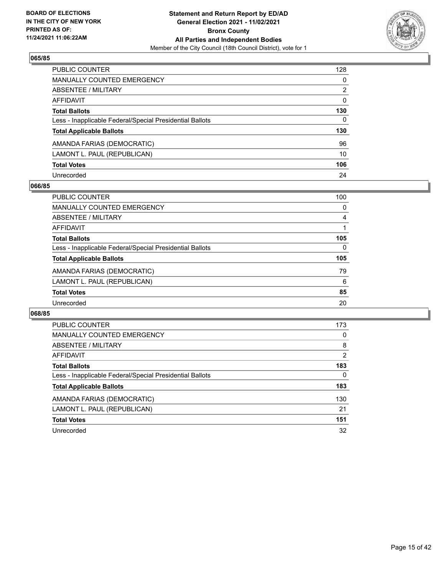

| <b>PUBLIC COUNTER</b>                                    | 128      |
|----------------------------------------------------------|----------|
| <b>MANUALLY COUNTED EMERGENCY</b>                        | $\Omega$ |
| <b>ABSENTEE / MILITARY</b>                               | 2        |
| AFFIDAVIT                                                | $\Omega$ |
| <b>Total Ballots</b>                                     | 130      |
| Less - Inapplicable Federal/Special Presidential Ballots | 0        |
| <b>Total Applicable Ballots</b>                          | 130      |
| AMANDA FARIAS (DEMOCRATIC)                               | 96       |
| LAMONT L. PAUL (REPUBLICAN)                              | 10       |
| <b>Total Votes</b>                                       | 106      |
| Unrecorded                                               | 24       |

## **066/85**

| <b>PUBLIC COUNTER</b>                                    | 100      |
|----------------------------------------------------------|----------|
| <b>MANUALLY COUNTED EMERGENCY</b>                        | 0        |
| ABSENTEE / MILITARY                                      | 4        |
| AFFIDAVIT                                                |          |
| <b>Total Ballots</b>                                     | 105      |
| Less - Inapplicable Federal/Special Presidential Ballots | $\Omega$ |
| <b>Total Applicable Ballots</b>                          | 105      |
| AMANDA FARIAS (DEMOCRATIC)                               | 79       |
| LAMONT L. PAUL (REPUBLICAN)                              | 6        |
| <b>Total Votes</b>                                       | 85       |
| Unrecorded                                               | 20       |

| PUBLIC COUNTER                                           | 173 |
|----------------------------------------------------------|-----|
| <b>MANUALLY COUNTED EMERGENCY</b>                        | 0   |
| ABSENTEE / MILITARY                                      | 8   |
| <b>AFFIDAVIT</b>                                         | 2   |
| <b>Total Ballots</b>                                     | 183 |
| Less - Inapplicable Federal/Special Presidential Ballots | 0   |
| <b>Total Applicable Ballots</b>                          | 183 |
| AMANDA FARIAS (DEMOCRATIC)                               | 130 |
| LAMONT L. PAUL (REPUBLICAN)                              | 21  |
| <b>Total Votes</b>                                       | 151 |
| Unrecorded                                               | 32  |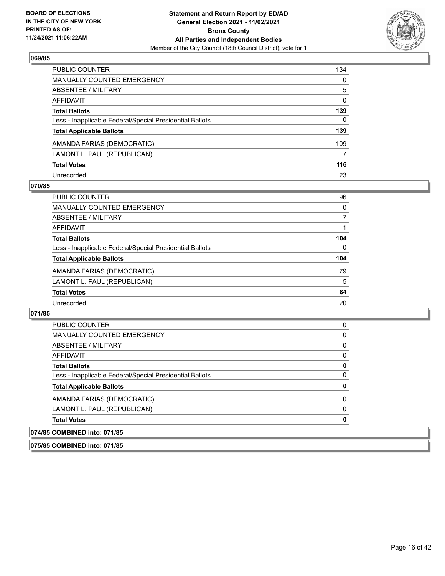

| PUBLIC COUNTER                                           | 134      |
|----------------------------------------------------------|----------|
| <b>MANUALLY COUNTED EMERGENCY</b>                        | 0        |
| <b>ABSENTEE / MILITARY</b>                               | 5        |
| AFFIDAVIT                                                | $\Omega$ |
| <b>Total Ballots</b>                                     | 139      |
| Less - Inapplicable Federal/Special Presidential Ballots | 0        |
| <b>Total Applicable Ballots</b>                          | 139      |
| AMANDA FARIAS (DEMOCRATIC)                               | 109      |
| LAMONT L. PAUL (REPUBLICAN)                              | 7        |
| <b>Total Votes</b>                                       | 116      |
| Unrecorded                                               | 23       |

## **070/85**

| <b>PUBLIC COUNTER</b>                                    | 96       |
|----------------------------------------------------------|----------|
| <b>MANUALLY COUNTED EMERGENCY</b>                        | 0        |
| ABSENTEE / MILITARY                                      |          |
| AFFIDAVIT                                                |          |
| <b>Total Ballots</b>                                     | 104      |
| Less - Inapplicable Federal/Special Presidential Ballots | $\Omega$ |
| <b>Total Applicable Ballots</b>                          | 104      |
| AMANDA FARIAS (DEMOCRATIC)                               | 79       |
| LAMONT L. PAUL (REPUBLICAN)                              | 5        |
| <b>Total Votes</b>                                       | 84       |
| Unrecorded                                               | 20       |

| 075/85 COMBINED into: 071/85                             |   |
|----------------------------------------------------------|---|
| 074/85 COMBINED into: 071/85                             |   |
| <b>Total Votes</b>                                       | 0 |
| LAMONT L. PAUL (REPUBLICAN)                              | 0 |
| AMANDA FARIAS (DEMOCRATIC)                               | 0 |
| <b>Total Applicable Ballots</b>                          | 0 |
| Less - Inapplicable Federal/Special Presidential Ballots | 0 |
| <b>Total Ballots</b>                                     | 0 |
| AFFIDAVIT                                                | 0 |
| <b>ABSENTEE / MILITARY</b>                               | 0 |
| <b>MANUALLY COUNTED EMERGENCY</b>                        | 0 |
| <b>PUBLIC COUNTER</b>                                    | 0 |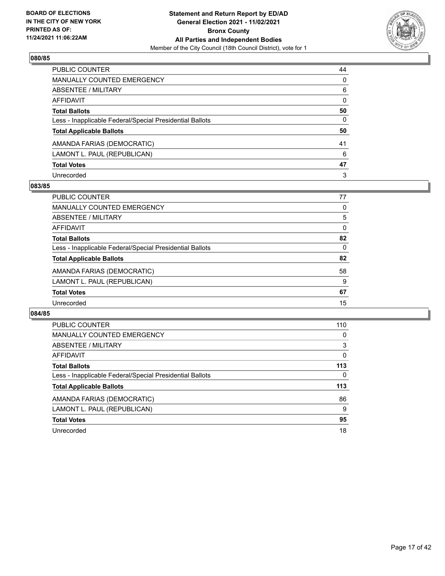

| PUBLIC COUNTER                                           | 44           |
|----------------------------------------------------------|--------------|
| <b>MANUALLY COUNTED EMERGENCY</b>                        | $\Omega$     |
| ABSENTEE / MILITARY                                      | 6            |
| <b>AFFIDAVIT</b>                                         | $\mathbf{0}$ |
| <b>Total Ballots</b>                                     | 50           |
| Less - Inapplicable Federal/Special Presidential Ballots | 0            |
| <b>Total Applicable Ballots</b>                          | 50           |
| AMANDA FARIAS (DEMOCRATIC)                               | 41           |
| LAMONT L. PAUL (REPUBLICAN)                              | 6            |
| <b>Total Votes</b>                                       | 47           |
| Unrecorded                                               | 3            |

## **083/85**

| PUBLIC COUNTER                                           | 77       |
|----------------------------------------------------------|----------|
| <b>MANUALLY COUNTED EMERGENCY</b>                        | 0        |
| <b>ABSENTEE / MILITARY</b>                               | 5        |
| AFFIDAVIT                                                | $\Omega$ |
| <b>Total Ballots</b>                                     | 82       |
| Less - Inapplicable Federal/Special Presidential Ballots | 0        |
| <b>Total Applicable Ballots</b>                          | 82       |
| AMANDA FARIAS (DEMOCRATIC)                               | 58       |
| LAMONT L. PAUL (REPUBLICAN)                              | 9        |
| <b>Total Votes</b>                                       | 67       |
| Unrecorded                                               | 15       |

| PUBLIC COUNTER                                           | 110      |
|----------------------------------------------------------|----------|
| <b>MANUALLY COUNTED EMERGENCY</b>                        | 0        |
| ABSENTEE / MILITARY                                      | 3        |
| <b>AFFIDAVIT</b>                                         | $\Omega$ |
| <b>Total Ballots</b>                                     | 113      |
| Less - Inapplicable Federal/Special Presidential Ballots | 0        |
| <b>Total Applicable Ballots</b>                          | 113      |
| AMANDA FARIAS (DEMOCRATIC)                               | 86       |
| LAMONT L. PAUL (REPUBLICAN)                              | 9        |
| <b>Total Votes</b>                                       | 95       |
|                                                          |          |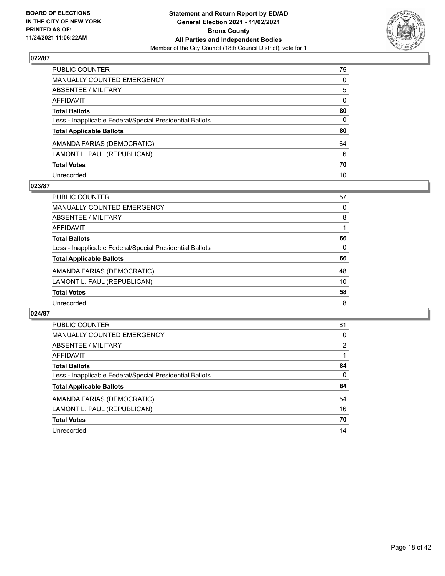

| PUBLIC COUNTER                                           | 75           |
|----------------------------------------------------------|--------------|
| MANUALLY COUNTED EMERGENCY                               | $\mathbf{0}$ |
| ABSENTEE / MILITARY                                      | 5            |
| <b>AFFIDAVIT</b>                                         | $\mathbf{0}$ |
| <b>Total Ballots</b>                                     | 80           |
| Less - Inapplicable Federal/Special Presidential Ballots | 0            |
| <b>Total Applicable Ballots</b>                          | 80           |
| AMANDA FARIAS (DEMOCRATIC)                               | 64           |
| LAMONT L. PAUL (REPUBLICAN)                              | 6            |
| <b>Total Votes</b>                                       | 70           |
| Unrecorded                                               | 10           |

## **023/87**

| <b>PUBLIC COUNTER</b>                                    | 57 |
|----------------------------------------------------------|----|
| <b>MANUALLY COUNTED EMERGENCY</b>                        | 0  |
| ABSENTEE / MILITARY                                      | 8  |
| AFFIDAVIT                                                |    |
| <b>Total Ballots</b>                                     | 66 |
| Less - Inapplicable Federal/Special Presidential Ballots | 0  |
| <b>Total Applicable Ballots</b>                          | 66 |
| AMANDA FARIAS (DEMOCRATIC)                               | 48 |
| LAMONT L. PAUL (REPUBLICAN)                              | 10 |
| <b>Total Votes</b>                                       | 58 |
| Unrecorded                                               | 8  |

| PUBLIC COUNTER                                           | 81       |
|----------------------------------------------------------|----------|
| <b>MANUALLY COUNTED EMERGENCY</b>                        | 0        |
| ABSENTEE / MILITARY                                      | 2        |
| AFFIDAVIT                                                |          |
| <b>Total Ballots</b>                                     | 84       |
| Less - Inapplicable Federal/Special Presidential Ballots | $\Omega$ |
| <b>Total Applicable Ballots</b>                          | 84       |
| AMANDA FARIAS (DEMOCRATIC)                               | 54       |
| LAMONT L. PAUL (REPUBLICAN)                              | 16       |
| <b>Total Votes</b>                                       | 70       |
| Unrecorded                                               | 14       |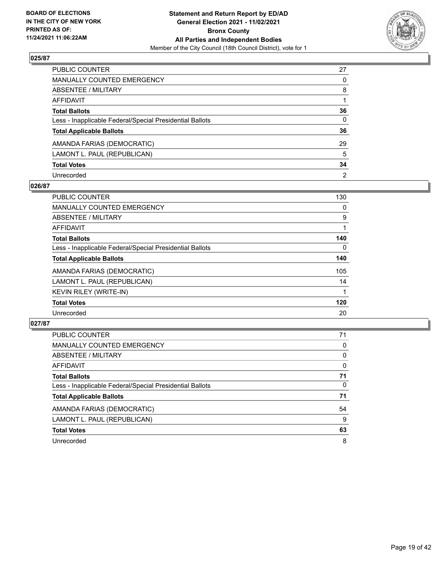

| PUBLIC COUNTER                                           | 27             |
|----------------------------------------------------------|----------------|
| <b>MANUALLY COUNTED EMERGENCY</b>                        | $\Omega$       |
| <b>ABSENTEE / MILITARY</b>                               | 8              |
| <b>AFFIDAVIT</b>                                         |                |
| <b>Total Ballots</b>                                     | 36             |
| Less - Inapplicable Federal/Special Presidential Ballots | $\mathbf{0}$   |
| <b>Total Applicable Ballots</b>                          | 36             |
| AMANDA FARIAS (DEMOCRATIC)                               | 29             |
| LAMONT L. PAUL (REPUBLICAN)                              | 5              |
| <b>Total Votes</b>                                       | 34             |
| Unrecorded                                               | $\overline{2}$ |

## **026/87**

| <b>PUBLIC COUNTER</b>                                    | 130      |
|----------------------------------------------------------|----------|
| <b>MANUALLY COUNTED EMERGENCY</b>                        | 0        |
| ABSENTEE / MILITARY                                      | 9        |
| AFFIDAVIT                                                |          |
| <b>Total Ballots</b>                                     | 140      |
| Less - Inapplicable Federal/Special Presidential Ballots | $\Omega$ |
| <b>Total Applicable Ballots</b>                          | 140      |
| AMANDA FARIAS (DEMOCRATIC)                               | 105      |
| LAMONT L. PAUL (REPUBLICAN)                              | 14       |
| <b>KEVIN RILEY (WRITE-IN)</b>                            |          |
| <b>Total Votes</b>                                       | 120      |
| Unrecorded                                               | 20       |

| PUBLIC COUNTER                                           | 71       |
|----------------------------------------------------------|----------|
| <b>MANUALLY COUNTED EMERGENCY</b>                        | $\Omega$ |
| ABSENTEE / MILITARY                                      | 0        |
| AFFIDAVIT                                                | $\Omega$ |
| <b>Total Ballots</b>                                     | 71       |
| Less - Inapplicable Federal/Special Presidential Ballots | $\Omega$ |
| <b>Total Applicable Ballots</b>                          | 71       |
| AMANDA FARIAS (DEMOCRATIC)                               | 54       |
| LAMONT L. PAUL (REPUBLICAN)                              | 9        |
| <b>Total Votes</b>                                       | 63       |
| Unrecorded                                               | 8        |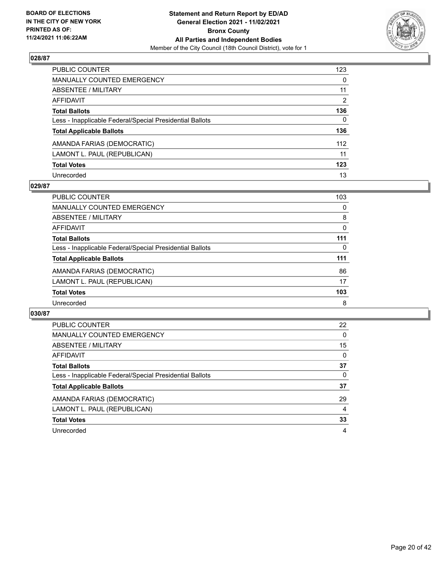

| PUBLIC COUNTER                                           | 123          |
|----------------------------------------------------------|--------------|
| <b>MANUALLY COUNTED EMERGENCY</b>                        | $\mathbf{0}$ |
| <b>ABSENTEE / MILITARY</b>                               | 11           |
| AFFIDAVIT                                                | 2            |
| <b>Total Ballots</b>                                     | 136          |
| Less - Inapplicable Federal/Special Presidential Ballots | $\mathbf{0}$ |
| <b>Total Applicable Ballots</b>                          | 136          |
| AMANDA FARIAS (DEMOCRATIC)                               | 112          |
| LAMONT L. PAUL (REPUBLICAN)                              | 11           |
| <b>Total Votes</b>                                       | 123          |
| Unrecorded                                               | 13           |

## **029/87**

| <b>PUBLIC COUNTER</b>                                    | 103      |
|----------------------------------------------------------|----------|
| MANUALLY COUNTED EMERGENCY                               | 0        |
| ABSENTEE / MILITARY                                      | 8        |
| AFFIDAVIT                                                | $\Omega$ |
| <b>Total Ballots</b>                                     | 111      |
| Less - Inapplicable Federal/Special Presidential Ballots | $\Omega$ |
| <b>Total Applicable Ballots</b>                          | 111      |
| AMANDA FARIAS (DEMOCRATIC)                               | 86       |
| LAMONT L. PAUL (REPUBLICAN)                              | 17       |
| <b>Total Votes</b>                                       | 103      |
| Unrecorded                                               | 8        |

| PUBLIC COUNTER                                           | 22       |
|----------------------------------------------------------|----------|
| <b>MANUALLY COUNTED EMERGENCY</b>                        | $\Omega$ |
| ABSENTEE / MILITARY                                      | 15       |
| <b>AFFIDAVIT</b>                                         | 0        |
| <b>Total Ballots</b>                                     | 37       |
| Less - Inapplicable Federal/Special Presidential Ballots | 0        |
| <b>Total Applicable Ballots</b>                          | 37       |
| AMANDA FARIAS (DEMOCRATIC)                               | 29       |
| LAMONT L. PAUL (REPUBLICAN)                              | 4        |
| <b>Total Votes</b>                                       | 33       |
| Unrecorded                                               | 4        |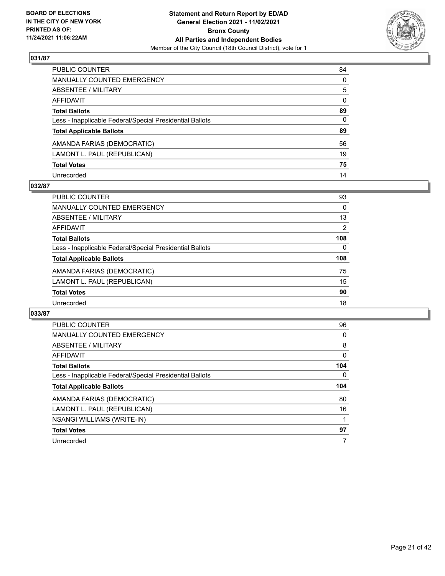

| PUBLIC COUNTER                                           | 84           |
|----------------------------------------------------------|--------------|
| <b>MANUALLY COUNTED EMERGENCY</b>                        | $\Omega$     |
| <b>ABSENTEE / MILITARY</b>                               | 5            |
| <b>AFFIDAVIT</b>                                         | $\mathbf{0}$ |
| <b>Total Ballots</b>                                     | 89           |
| Less - Inapplicable Federal/Special Presidential Ballots | $\mathbf{0}$ |
| <b>Total Applicable Ballots</b>                          | 89           |
| AMANDA FARIAS (DEMOCRATIC)                               | 56           |
| LAMONT L. PAUL (REPUBLICAN)                              | 19           |
| <b>Total Votes</b>                                       | 75           |
| Unrecorded                                               | 14           |

## **032/87**

| <b>PUBLIC COUNTER</b>                                    | 93       |
|----------------------------------------------------------|----------|
| <b>MANUALLY COUNTED EMERGENCY</b>                        | 0        |
| ABSENTEE / MILITARY                                      | 13       |
| AFFIDAVIT                                                | 2        |
| <b>Total Ballots</b>                                     | 108      |
| Less - Inapplicable Federal/Special Presidential Ballots | $\Omega$ |
| <b>Total Applicable Ballots</b>                          | 108      |
| AMANDA FARIAS (DEMOCRATIC)                               | 75       |
| LAMONT L. PAUL (REPUBLICAN)                              | 15       |
| <b>Total Votes</b>                                       | 90       |
| Unrecorded                                               | 18       |

| PUBLIC COUNTER                                           | 96       |
|----------------------------------------------------------|----------|
| <b>MANUALLY COUNTED EMERGENCY</b>                        | 0        |
| ABSENTEE / MILITARY                                      | 8        |
| AFFIDAVIT                                                | $\Omega$ |
| <b>Total Ballots</b>                                     | 104      |
| Less - Inapplicable Federal/Special Presidential Ballots | 0        |
|                                                          |          |
| <b>Total Applicable Ballots</b>                          | 104      |
| AMANDA FARIAS (DEMOCRATIC)                               | 80       |
| LAMONT L. PAUL (REPUBLICAN)                              | 16       |
| <b>NSANGI WILLIAMS (WRITE-IN)</b>                        |          |
| <b>Total Votes</b>                                       | 97       |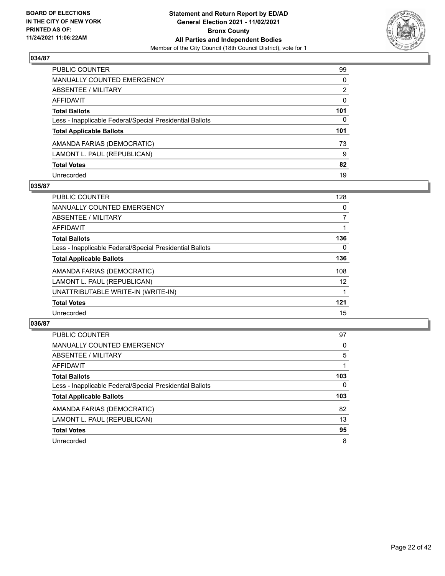

| PUBLIC COUNTER                                           | 99       |
|----------------------------------------------------------|----------|
| <b>MANUALLY COUNTED EMERGENCY</b>                        | $\Omega$ |
| <b>ABSENTEE / MILITARY</b>                               | 2        |
| <b>AFFIDAVIT</b>                                         | $\Omega$ |
| <b>Total Ballots</b>                                     | 101      |
| Less - Inapplicable Federal/Special Presidential Ballots | 0        |
| <b>Total Applicable Ballots</b>                          | 101      |
| AMANDA FARIAS (DEMOCRATIC)                               | 73       |
| LAMONT L. PAUL (REPUBLICAN)                              | 9        |
| <b>Total Votes</b>                                       | 82       |
| Unrecorded                                               | 19       |

## **035/87**

| <b>PUBLIC COUNTER</b>                                    | 128      |
|----------------------------------------------------------|----------|
| MANUALLY COUNTED EMERGENCY                               | 0        |
| ABSENTEE / MILITARY                                      | 7        |
| <b>AFFIDAVIT</b>                                         |          |
| <b>Total Ballots</b>                                     | 136      |
| Less - Inapplicable Federal/Special Presidential Ballots | $\Omega$ |
| <b>Total Applicable Ballots</b>                          | 136      |
| AMANDA FARIAS (DEMOCRATIC)                               | 108      |
| LAMONT L. PAUL (REPUBLICAN)                              | 12       |
| UNATTRIBUTABLE WRITE-IN (WRITE-IN)                       |          |
| <b>Total Votes</b>                                       | 121      |
| Unrecorded                                               | 15       |

| <b>PUBLIC COUNTER</b>                                    | 97  |
|----------------------------------------------------------|-----|
| MANUALLY COUNTED EMERGENCY                               | 0   |
| ABSENTEE / MILITARY                                      | 5   |
| AFFIDAVIT                                                |     |
| <b>Total Ballots</b>                                     | 103 |
| Less - Inapplicable Federal/Special Presidential Ballots | 0   |
| <b>Total Applicable Ballots</b>                          | 103 |
| AMANDA FARIAS (DEMOCRATIC)                               | 82  |
| LAMONT L. PAUL (REPUBLICAN)                              | 13  |
| <b>Total Votes</b>                                       | 95  |
| Unrecorded                                               | 8   |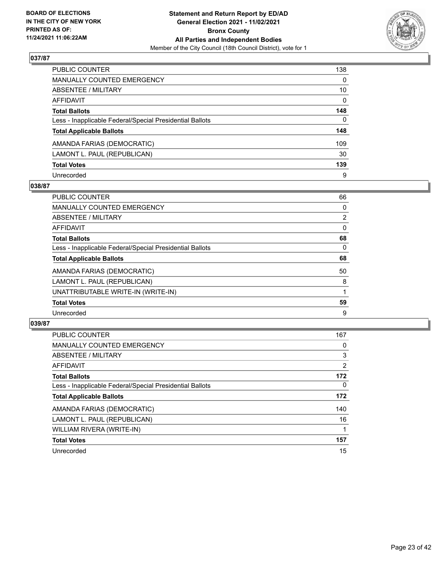

| PUBLIC COUNTER                                           | 138          |
|----------------------------------------------------------|--------------|
| <b>MANUALLY COUNTED EMERGENCY</b>                        | $\Omega$     |
| <b>ABSENTEE / MILITARY</b>                               | 10           |
| <b>AFFIDAVIT</b>                                         | $\mathbf{0}$ |
| <b>Total Ballots</b>                                     | 148          |
| Less - Inapplicable Federal/Special Presidential Ballots | 0            |
| <b>Total Applicable Ballots</b>                          | 148          |
| AMANDA FARIAS (DEMOCRATIC)                               | 109          |
| LAMONT L. PAUL (REPUBLICAN)                              | 30           |
| <b>Total Votes</b>                                       | 139          |
| Unrecorded                                               | 9            |

## **038/87**

| PUBLIC COUNTER                                           | 66             |
|----------------------------------------------------------|----------------|
| MANUALLY COUNTED EMERGENCY                               | 0              |
| ABSENTEE / MILITARY                                      | $\overline{2}$ |
| <b>AFFIDAVIT</b>                                         | 0              |
| <b>Total Ballots</b>                                     | 68             |
| Less - Inapplicable Federal/Special Presidential Ballots | 0              |
| <b>Total Applicable Ballots</b>                          | 68             |
| AMANDA FARIAS (DEMOCRATIC)                               | 50             |
| LAMONT L. PAUL (REPUBLICAN)                              | 8              |
| UNATTRIBUTABLE WRITE-IN (WRITE-IN)                       |                |
| <b>Total Votes</b>                                       | 59             |
| Unrecorded                                               | 9              |

| PUBLIC COUNTER                                           | 167      |
|----------------------------------------------------------|----------|
| <b>MANUALLY COUNTED EMERGENCY</b>                        | 0        |
| ABSENTEE / MILITARY                                      | 3        |
| <b>AFFIDAVIT</b>                                         | 2        |
| <b>Total Ballots</b>                                     | 172      |
| Less - Inapplicable Federal/Special Presidential Ballots | $\Omega$ |
| <b>Total Applicable Ballots</b>                          | 172      |
| AMANDA FARIAS (DEMOCRATIC)                               | 140      |
| LAMONT L. PAUL (REPUBLICAN)                              | 16       |
| WILLIAM RIVERA (WRITE-IN)                                |          |
| <b>Total Votes</b>                                       | 157      |
| Unrecorded                                               | 15       |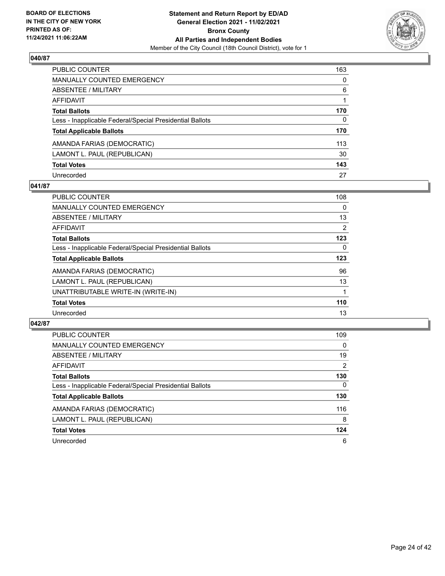

| PUBLIC COUNTER                                           | 163          |
|----------------------------------------------------------|--------------|
| <b>MANUALLY COUNTED EMERGENCY</b>                        | $\mathbf{0}$ |
| <b>ABSENTEE / MILITARY</b>                               | 6            |
| AFFIDAVIT                                                |              |
| <b>Total Ballots</b>                                     | 170          |
| Less - Inapplicable Federal/Special Presidential Ballots | $\mathbf{0}$ |
| <b>Total Applicable Ballots</b>                          | 170          |
| AMANDA FARIAS (DEMOCRATIC)                               | 113          |
| LAMONT L. PAUL (REPUBLICAN)                              | 30           |
| <b>Total Votes</b>                                       | 143          |
| Unrecorded                                               | 27           |

## **041/87**

| PUBLIC COUNTER                                           | 108 |
|----------------------------------------------------------|-----|
| MANUALLY COUNTED EMERGENCY                               | 0   |
| ABSENTEE / MILITARY                                      | 13  |
| AFFIDAVIT                                                | 2   |
| <b>Total Ballots</b>                                     | 123 |
| Less - Inapplicable Federal/Special Presidential Ballots | 0   |
| <b>Total Applicable Ballots</b>                          | 123 |
| AMANDA FARIAS (DEMOCRATIC)                               | 96  |
| LAMONT L. PAUL (REPUBLICAN)                              | 13  |
| UNATTRIBUTABLE WRITE-IN (WRITE-IN)                       |     |
| <b>Total Votes</b>                                       | 110 |
| Unrecorded                                               | 13  |

| <b>PUBLIC COUNTER</b>                                    | 109            |
|----------------------------------------------------------|----------------|
| MANUALLY COUNTED EMERGENCY                               | $\Omega$       |
| ABSENTEE / MILITARY                                      | 19             |
| <b>AFFIDAVIT</b>                                         | $\overline{2}$ |
| <b>Total Ballots</b>                                     | 130            |
| Less - Inapplicable Federal/Special Presidential Ballots | $\Omega$       |
| <b>Total Applicable Ballots</b>                          | 130            |
| AMANDA FARIAS (DEMOCRATIC)                               | 116            |
| LAMONT L. PAUL (REPUBLICAN)                              | 8              |
| <b>Total Votes</b>                                       | 124            |
| Unrecorded                                               | 6              |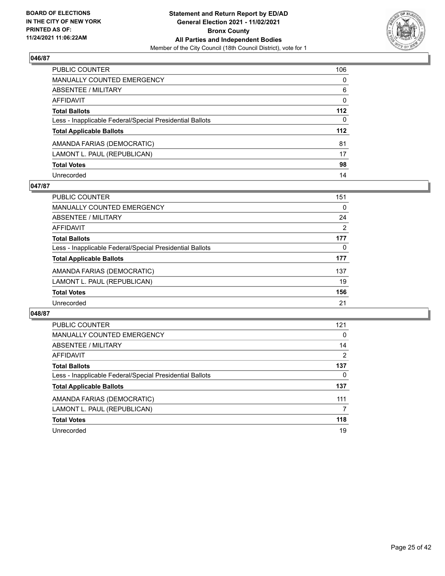

| PUBLIC COUNTER                                           | 106          |
|----------------------------------------------------------|--------------|
| MANUALLY COUNTED EMERGENCY                               | $\mathbf{0}$ |
| <b>ABSENTEE / MILITARY</b>                               | 6            |
| AFFIDAVIT                                                | $\mathbf{0}$ |
| <b>Total Ballots</b>                                     | 112          |
| Less - Inapplicable Federal/Special Presidential Ballots | $\mathbf{0}$ |
| <b>Total Applicable Ballots</b>                          | 112          |
| AMANDA FARIAS (DEMOCRATIC)                               | 81           |
| LAMONT L. PAUL (REPUBLICAN)                              | 17           |
| <b>Total Votes</b>                                       | 98           |
| Unrecorded                                               | 14           |

## **047/87**

| PUBLIC COUNTER                                           | 151            |
|----------------------------------------------------------|----------------|
| <b>MANUALLY COUNTED EMERGENCY</b>                        | 0              |
| ABSENTEE / MILITARY                                      | 24             |
| AFFIDAVIT                                                | $\overline{2}$ |
| <b>Total Ballots</b>                                     | 177            |
| Less - Inapplicable Federal/Special Presidential Ballots | 0              |
| <b>Total Applicable Ballots</b>                          | 177            |
| AMANDA FARIAS (DEMOCRATIC)                               | 137            |
| LAMONT L. PAUL (REPUBLICAN)                              | 19             |
| <b>Total Votes</b>                                       | 156            |
| Unrecorded                                               | 21             |

| <b>PUBLIC COUNTER</b>                                    | 121 |
|----------------------------------------------------------|-----|
| <b>MANUALLY COUNTED EMERGENCY</b>                        | 0   |
| ABSENTEE / MILITARY                                      | 14  |
| <b>AFFIDAVIT</b>                                         | 2   |
| <b>Total Ballots</b>                                     | 137 |
| Less - Inapplicable Federal/Special Presidential Ballots | 0   |
| <b>Total Applicable Ballots</b>                          | 137 |
| AMANDA FARIAS (DEMOCRATIC)                               | 111 |
| LAMONT L. PAUL (REPUBLICAN)                              | 7   |
| <b>Total Votes</b>                                       | 118 |
| Unrecorded                                               | 19  |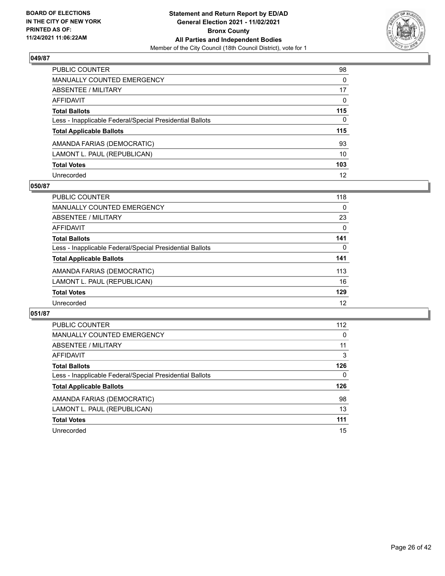

| PUBLIC COUNTER                                           | 98           |
|----------------------------------------------------------|--------------|
| MANUALLY COUNTED EMERGENCY                               | 0            |
| <b>ABSENTEE / MILITARY</b>                               | 17           |
| AFFIDAVIT                                                | $\mathbf{0}$ |
| <b>Total Ballots</b>                                     | 115          |
| Less - Inapplicable Federal/Special Presidential Ballots | $\mathbf{0}$ |
| <b>Total Applicable Ballots</b>                          | 115          |
| AMANDA FARIAS (DEMOCRATIC)                               | 93           |
| LAMONT L. PAUL (REPUBLICAN)                              | 10           |
| <b>Total Votes</b>                                       | 103          |
| Unrecorded                                               | 12           |

## **050/87**

| PUBLIC COUNTER                                           | 118      |
|----------------------------------------------------------|----------|
| <b>MANUALLY COUNTED EMERGENCY</b>                        | $\Omega$ |
| ABSENTEE / MILITARY                                      | 23       |
| AFFIDAVIT                                                | $\Omega$ |
| <b>Total Ballots</b>                                     | 141      |
| Less - Inapplicable Federal/Special Presidential Ballots | $\Omega$ |
| <b>Total Applicable Ballots</b>                          | 141      |
| AMANDA FARIAS (DEMOCRATIC)                               | 113      |
| LAMONT L. PAUL (REPUBLICAN)                              | 16       |
| <b>Total Votes</b>                                       | 129      |
| Unrecorded                                               | 12       |

| <b>PUBLIC COUNTER</b>                                    | 112 |
|----------------------------------------------------------|-----|
| <b>MANUALLY COUNTED EMERGENCY</b>                        | 0   |
| ABSENTEE / MILITARY                                      | 11  |
| AFFIDAVIT                                                | 3   |
| <b>Total Ballots</b>                                     | 126 |
| Less - Inapplicable Federal/Special Presidential Ballots | 0   |
| <b>Total Applicable Ballots</b>                          | 126 |
| AMANDA FARIAS (DEMOCRATIC)                               | 98  |
| LAMONT L. PAUL (REPUBLICAN)                              | 13  |
| <b>Total Votes</b>                                       | 111 |
|                                                          |     |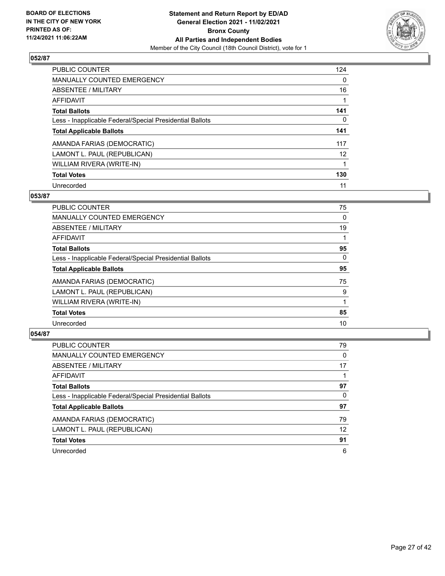

| <b>PUBLIC COUNTER</b>                                    | 124      |
|----------------------------------------------------------|----------|
| <b>MANUALLY COUNTED EMERGENCY</b>                        | $\Omega$ |
| ABSENTEE / MILITARY                                      | 16       |
| AFFIDAVIT                                                |          |
| <b>Total Ballots</b>                                     | 141      |
| Less - Inapplicable Federal/Special Presidential Ballots | 0        |
| <b>Total Applicable Ballots</b>                          | 141      |
| AMANDA FARIAS (DEMOCRATIC)                               | 117      |
| LAMONT L. PAUL (REPUBLICAN)                              | 12       |
| WILLIAM RIVERA (WRITE-IN)                                |          |
| <b>Total Votes</b>                                       | 130      |
| Unrecorded                                               | 11       |

## **053/87**

| <b>PUBLIC COUNTER</b>                                    | 75       |
|----------------------------------------------------------|----------|
| <b>MANUALLY COUNTED EMERGENCY</b>                        | 0        |
| ABSENTEE / MILITARY                                      | 19       |
| <b>AFFIDAVIT</b>                                         |          |
| <b>Total Ballots</b>                                     | 95       |
| Less - Inapplicable Federal/Special Presidential Ballots | $\Omega$ |
| <b>Total Applicable Ballots</b>                          | 95       |
| AMANDA FARIAS (DEMOCRATIC)                               | 75       |
| LAMONT L. PAUL (REPUBLICAN)                              | 9        |
| WILLIAM RIVERA (WRITE-IN)                                | 1        |
| <b>Total Votes</b>                                       | 85       |
| Unrecorded                                               | 10       |

| <b>PUBLIC COUNTER</b>                                    | 79       |
|----------------------------------------------------------|----------|
| <b>MANUALLY COUNTED EMERGENCY</b>                        | $\Omega$ |
| ABSENTEE / MILITARY                                      | 17       |
| AFFIDAVIT                                                |          |
| <b>Total Ballots</b>                                     | 97       |
| Less - Inapplicable Federal/Special Presidential Ballots | 0        |
| <b>Total Applicable Ballots</b>                          | 97       |
| AMANDA FARIAS (DEMOCRATIC)                               | 79       |
| LAMONT L. PAUL (REPUBLICAN)                              | 12       |
| <b>Total Votes</b>                                       | 91       |
| Unrecorded                                               | 6        |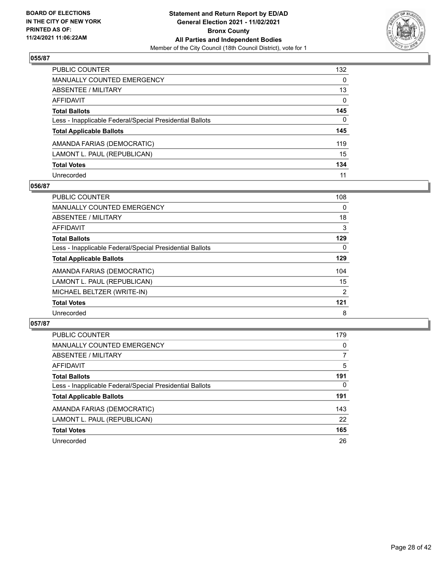

| PUBLIC COUNTER                                           | 132          |
|----------------------------------------------------------|--------------|
| MANUALLY COUNTED EMERGENCY                               | $\mathbf{0}$ |
| <b>ABSENTEE / MILITARY</b>                               | 13           |
| AFFIDAVIT                                                | $\mathbf{0}$ |
| <b>Total Ballots</b>                                     | 145          |
| Less - Inapplicable Federal/Special Presidential Ballots | $\mathbf{0}$ |
| <b>Total Applicable Ballots</b>                          | 145          |
| AMANDA FARIAS (DEMOCRATIC)                               | 119          |
| LAMONT L. PAUL (REPUBLICAN)                              | 15           |
| <b>Total Votes</b>                                       | 134          |
| Unrecorded                                               | 11           |

## **056/87**

| <b>PUBLIC COUNTER</b>                                    | 108            |
|----------------------------------------------------------|----------------|
| <b>MANUALLY COUNTED EMERGENCY</b>                        | $\Omega$       |
| ABSENTEE / MILITARY                                      | 18             |
| <b>AFFIDAVIT</b>                                         | 3              |
| <b>Total Ballots</b>                                     | 129            |
| Less - Inapplicable Federal/Special Presidential Ballots | $\Omega$       |
| <b>Total Applicable Ballots</b>                          | 129            |
| AMANDA FARIAS (DEMOCRATIC)                               | 104            |
| LAMONT L. PAUL (REPUBLICAN)                              | 15             |
| MICHAEL BELTZER (WRITE-IN)                               | $\overline{2}$ |
| <b>Total Votes</b>                                       | 121            |
| Unrecorded                                               | 8              |

| <b>PUBLIC COUNTER</b>                                    | 179 |
|----------------------------------------------------------|-----|
| MANUALLY COUNTED EMERGENCY                               | 0   |
| ABSENTEE / MILITARY                                      | 7   |
| AFFIDAVIT                                                | 5   |
| <b>Total Ballots</b>                                     | 191 |
| Less - Inapplicable Federal/Special Presidential Ballots | 0   |
| <b>Total Applicable Ballots</b>                          | 191 |
| AMANDA FARIAS (DEMOCRATIC)                               | 143 |
| LAMONT L. PAUL (REPUBLICAN)                              | 22  |
| <b>Total Votes</b>                                       | 165 |
| Unrecorded                                               | 26  |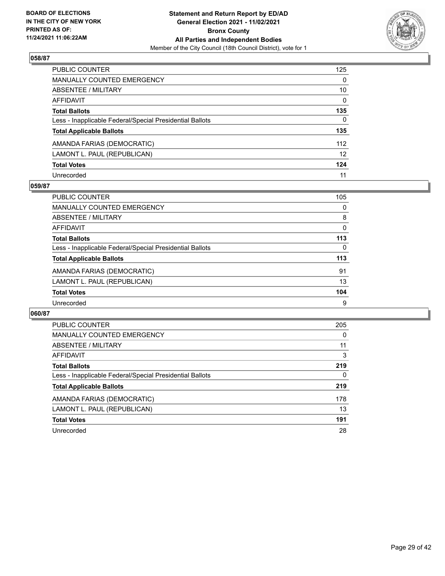

| PUBLIC COUNTER                                           | 125             |
|----------------------------------------------------------|-----------------|
| <b>MANUALLY COUNTED EMERGENCY</b>                        | $\mathbf{0}$    |
| <b>ABSENTEE / MILITARY</b>                               | 10              |
| AFFIDAVIT                                                | $\mathbf{0}$    |
| <b>Total Ballots</b>                                     | 135             |
| Less - Inapplicable Federal/Special Presidential Ballots | $\mathbf{0}$    |
| <b>Total Applicable Ballots</b>                          | 135             |
| AMANDA FARIAS (DEMOCRATIC)                               | 112             |
| LAMONT L. PAUL (REPUBLICAN)                              | 12 <sup>2</sup> |
| <b>Total Votes</b>                                       | 124             |
| Unrecorded                                               | 11              |

## **059/87**

| PUBLIC COUNTER                                           | 105 |
|----------------------------------------------------------|-----|
| <b>MANUALLY COUNTED EMERGENCY</b>                        | 0   |
| ABSENTEE / MILITARY                                      | 8   |
| AFFIDAVIT                                                | 0   |
| <b>Total Ballots</b>                                     | 113 |
| Less - Inapplicable Federal/Special Presidential Ballots | 0   |
| <b>Total Applicable Ballots</b>                          | 113 |
| AMANDA FARIAS (DEMOCRATIC)                               | 91  |
| LAMONT L. PAUL (REPUBLICAN)                              | 13  |
| <b>Total Votes</b>                                       | 104 |
| Unrecorded                                               | 9   |

| <b>PUBLIC COUNTER</b>                                    | 205      |
|----------------------------------------------------------|----------|
| <b>MANUALLY COUNTED EMERGENCY</b>                        | $\Omega$ |
| ABSENTEE / MILITARY                                      | 11       |
| <b>AFFIDAVIT</b>                                         | 3        |
| <b>Total Ballots</b>                                     | 219      |
| Less - Inapplicable Federal/Special Presidential Ballots | 0        |
| <b>Total Applicable Ballots</b>                          | 219      |
| AMANDA FARIAS (DEMOCRATIC)                               | 178      |
| LAMONT L. PAUL (REPUBLICAN)                              | 13       |
| <b>Total Votes</b>                                       | 191      |
| Unrecorded                                               | 28       |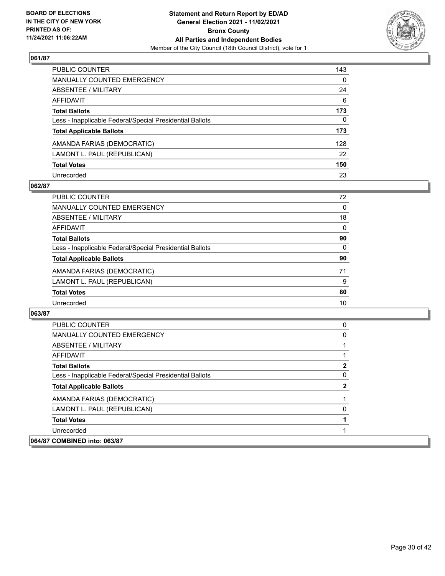

| PUBLIC COUNTER                                           | 143          |
|----------------------------------------------------------|--------------|
| MANUALLY COUNTED EMERGENCY                               | 0            |
| ABSENTEE / MILITARY                                      | 24           |
| AFFIDAVIT                                                | 6            |
| <b>Total Ballots</b>                                     | 173          |
| Less - Inapplicable Federal/Special Presidential Ballots | $\mathbf{0}$ |
| <b>Total Applicable Ballots</b>                          | 173          |
| AMANDA FARIAS (DEMOCRATIC)                               | 128          |
| LAMONT L. PAUL (REPUBLICAN)                              | 22           |
| <b>Total Votes</b>                                       | 150          |
| Unrecorded                                               | 23           |

## **062/87**

| <b>PUBLIC COUNTER</b>                                    | 72       |
|----------------------------------------------------------|----------|
| MANUALLY COUNTED EMERGENCY                               | $\Omega$ |
| ABSENTEE / MILITARY                                      | 18       |
| AFFIDAVIT                                                | $\Omega$ |
| <b>Total Ballots</b>                                     | 90       |
| Less - Inapplicable Federal/Special Presidential Ballots | 0        |
| <b>Total Applicable Ballots</b>                          | 90       |
| AMANDA FARIAS (DEMOCRATIC)                               | 71       |
| LAMONT L. PAUL (REPUBLICAN)                              | 9        |
| <b>Total Votes</b>                                       | 80       |
| Unrecorded                                               | 10       |

| PUBLIC COUNTER                                           | 0 |
|----------------------------------------------------------|---|
| <b>MANUALLY COUNTED EMERGENCY</b>                        | 0 |
| ABSENTEE / MILITARY                                      |   |
| AFFIDAVIT                                                |   |
| <b>Total Ballots</b>                                     | 2 |
| Less - Inapplicable Federal/Special Presidential Ballots | 0 |
| <b>Total Applicable Ballots</b>                          | 2 |
| AMANDA FARIAS (DEMOCRATIC)                               |   |
| LAMONT L. PAUL (REPUBLICAN)                              | 0 |
| <b>Total Votes</b>                                       |   |
| Unrecorded                                               |   |
| 064/87 COMBINED into: 063/87                             |   |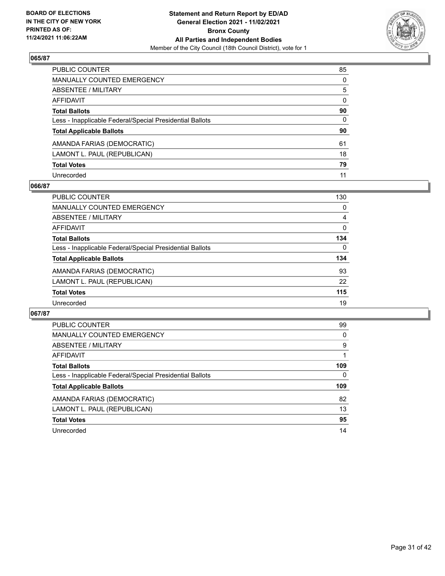

| PUBLIC COUNTER                                           | 85           |
|----------------------------------------------------------|--------------|
| <b>MANUALLY COUNTED EMERGENCY</b>                        | $\Omega$     |
| ABSENTEE / MILITARY                                      | 5            |
| <b>AFFIDAVIT</b>                                         | $\mathbf{0}$ |
| <b>Total Ballots</b>                                     | 90           |
| Less - Inapplicable Federal/Special Presidential Ballots | $\mathbf{0}$ |
| <b>Total Applicable Ballots</b>                          | 90           |
| AMANDA FARIAS (DEMOCRATIC)                               | 61           |
| LAMONT L. PAUL (REPUBLICAN)                              | 18           |
| <b>Total Votes</b>                                       | 79           |
| Unrecorded                                               | 11           |

## **066/87**

| <b>PUBLIC COUNTER</b>                                    | 130      |
|----------------------------------------------------------|----------|
| <b>MANUALLY COUNTED EMERGENCY</b>                        | 0        |
| ABSENTEE / MILITARY                                      | 4        |
| AFFIDAVIT                                                | $\Omega$ |
| <b>Total Ballots</b>                                     | 134      |
| Less - Inapplicable Federal/Special Presidential Ballots | $\Omega$ |
| <b>Total Applicable Ballots</b>                          | 134      |
| AMANDA FARIAS (DEMOCRATIC)                               | 93       |
| LAMONT L. PAUL (REPUBLICAN)                              | 22       |
| <b>Total Votes</b>                                       | 115      |
| Unrecorded                                               | 19       |

| PUBLIC COUNTER                                           | 99       |
|----------------------------------------------------------|----------|
| <b>MANUALLY COUNTED EMERGENCY</b>                        | $\Omega$ |
| ABSENTEE / MILITARY                                      | 9        |
| <b>AFFIDAVIT</b>                                         |          |
| <b>Total Ballots</b>                                     | 109      |
| Less - Inapplicable Federal/Special Presidential Ballots | 0        |
| <b>Total Applicable Ballots</b>                          | 109      |
| AMANDA FARIAS (DEMOCRATIC)                               | 82       |
|                                                          | 13       |
| LAMONT L. PAUL (REPUBLICAN)                              |          |
| <b>Total Votes</b>                                       | 95       |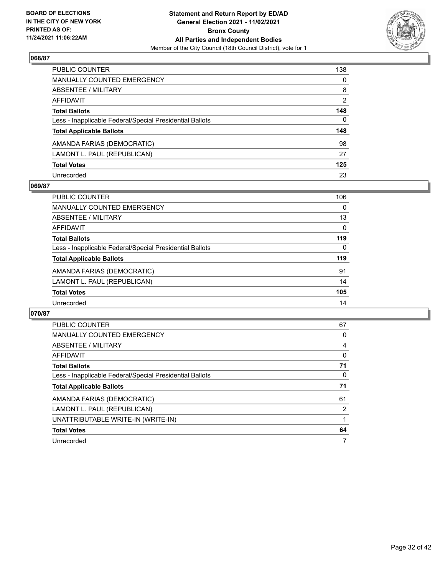

| PUBLIC COUNTER                                           | 138            |
|----------------------------------------------------------|----------------|
| MANUALLY COUNTED EMERGENCY                               | 0              |
| <b>ABSENTEE / MILITARY</b>                               | 8              |
| AFFIDAVIT                                                | $\overline{2}$ |
| <b>Total Ballots</b>                                     | 148            |
| Less - Inapplicable Federal/Special Presidential Ballots | $\mathbf{0}$   |
| <b>Total Applicable Ballots</b>                          | 148            |
| AMANDA FARIAS (DEMOCRATIC)                               | 98             |
| LAMONT L. PAUL (REPUBLICAN)                              | 27             |
| <b>Total Votes</b>                                       | 125            |
| Unrecorded                                               | 23             |

## **069/87**

| PUBLIC COUNTER                                           | 106      |
|----------------------------------------------------------|----------|
| MANUALLY COUNTED EMERGENCY                               | $\Omega$ |
| ABSENTEE / MILITARY                                      | 13       |
| AFFIDAVIT                                                | $\Omega$ |
| <b>Total Ballots</b>                                     | 119      |
| Less - Inapplicable Federal/Special Presidential Ballots | $\Omega$ |
| <b>Total Applicable Ballots</b>                          | 119      |
| AMANDA FARIAS (DEMOCRATIC)                               | 91       |
| LAMONT L. PAUL (REPUBLICAN)                              | 14       |
| <b>Total Votes</b>                                       | 105      |
| Unrecorded                                               | 14       |

| PUBLIC COUNTER                                           | 67 |
|----------------------------------------------------------|----|
| <b>MANUALLY COUNTED EMERGENCY</b>                        | 0  |
| ABSENTEE / MILITARY                                      | 4  |
| AFFIDAVIT                                                | 0  |
| <b>Total Ballots</b>                                     | 71 |
| Less - Inapplicable Federal/Special Presidential Ballots | 0  |
| <b>Total Applicable Ballots</b>                          | 71 |
|                                                          |    |
| AMANDA FARIAS (DEMOCRATIC)                               | 61 |
| LAMONT L. PAUL (REPUBLICAN)                              | 2  |
| UNATTRIBUTABLE WRITE-IN (WRITE-IN)                       |    |
| <b>Total Votes</b>                                       | 64 |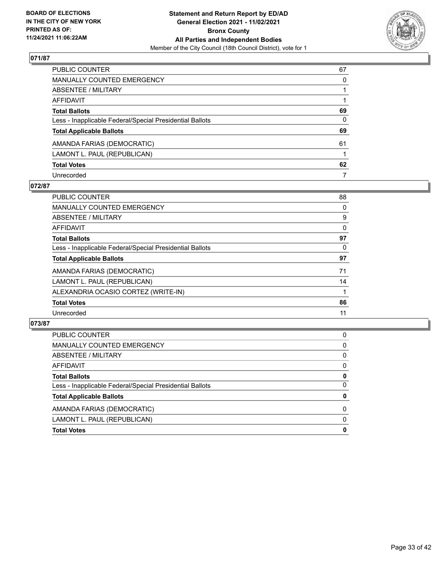

| PUBLIC COUNTER                                           | 67       |
|----------------------------------------------------------|----------|
| <b>MANUALLY COUNTED EMERGENCY</b>                        | $\Omega$ |
| <b>ABSENTEE / MILITARY</b>                               |          |
| <b>AFFIDAVIT</b>                                         |          |
| <b>Total Ballots</b>                                     | 69       |
| Less - Inapplicable Federal/Special Presidential Ballots | 0        |
| <b>Total Applicable Ballots</b>                          | 69       |
| AMANDA FARIAS (DEMOCRATIC)                               | 61       |
| LAMONT L. PAUL (REPUBLICAN)                              |          |
| <b>Total Votes</b>                                       | 62       |
| Unrecorded                                               | 7        |

## **072/87**

| <b>PUBLIC COUNTER</b>                                    | 88       |
|----------------------------------------------------------|----------|
| <b>MANUALLY COUNTED EMERGENCY</b>                        | $\Omega$ |
| ABSENTEE / MILITARY                                      | 9        |
| AFFIDAVIT                                                | $\Omega$ |
| <b>Total Ballots</b>                                     | 97       |
| Less - Inapplicable Federal/Special Presidential Ballots | 0        |
| <b>Total Applicable Ballots</b>                          | 97       |
| AMANDA FARIAS (DEMOCRATIC)                               | 71       |
| LAMONT L. PAUL (REPUBLICAN)                              | 14       |
| ALEXANDRIA OCASIO CORTEZ (WRITE-IN)                      |          |
| <b>Total Votes</b>                                       | 86       |
| Unrecorded                                               | 11       |

| <b>Total Votes</b>                                       | 0        |
|----------------------------------------------------------|----------|
| LAMONT L. PAUL (REPUBLICAN)                              | $\Omega$ |
| AMANDA FARIAS (DEMOCRATIC)                               | $\Omega$ |
| <b>Total Applicable Ballots</b>                          | 0        |
| Less - Inapplicable Federal/Special Presidential Ballots | 0        |
| <b>Total Ballots</b>                                     | 0        |
| AFFIDAVIT                                                | $\Omega$ |
| ABSENTEE / MILITARY                                      | $\Omega$ |
| MANUALLY COUNTED EMERGENCY                               | 0        |
| PUBLIC COUNTER                                           | 0        |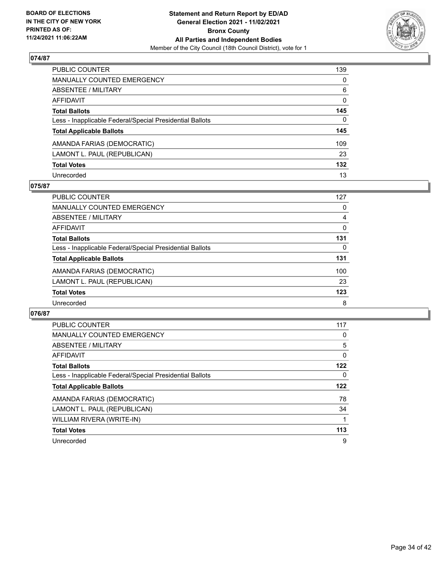

| PUBLIC COUNTER                                           | 139          |
|----------------------------------------------------------|--------------|
| <b>MANUALLY COUNTED EMERGENCY</b>                        | 0            |
| <b>ABSENTEE / MILITARY</b>                               | 6            |
| <b>AFFIDAVIT</b>                                         | 0            |
| <b>Total Ballots</b>                                     | 145          |
| Less - Inapplicable Federal/Special Presidential Ballots | $\mathbf{0}$ |
| <b>Total Applicable Ballots</b>                          | 145          |
| AMANDA FARIAS (DEMOCRATIC)                               | 109          |
| LAMONT L. PAUL (REPUBLICAN)                              | 23           |
| <b>Total Votes</b>                                       | 132          |
| Unrecorded                                               | 13           |

## **075/87**

| PUBLIC COUNTER                                           | 127      |
|----------------------------------------------------------|----------|
| MANUALLY COUNTED EMERGENCY                               | 0        |
| ABSENTEE / MILITARY                                      | 4        |
| AFFIDAVIT                                                | 0        |
| <b>Total Ballots</b>                                     | 131      |
| Less - Inapplicable Federal/Special Presidential Ballots | $\Omega$ |
| <b>Total Applicable Ballots</b>                          | 131      |
| AMANDA FARIAS (DEMOCRATIC)                               | 100      |
| LAMONT L. PAUL (REPUBLICAN)                              | 23       |
| <b>Total Votes</b>                                       | 123      |
| Unrecorded                                               | 8        |

| PUBLIC COUNTER                                           | 117 |
|----------------------------------------------------------|-----|
| MANUALLY COUNTED EMERGENCY                               | 0   |
| ABSENTEE / MILITARY                                      | 5   |
| AFFIDAVIT                                                | 0   |
| <b>Total Ballots</b>                                     | 122 |
| Less - Inapplicable Federal/Special Presidential Ballots | 0   |
|                                                          |     |
| <b>Total Applicable Ballots</b>                          | 122 |
| AMANDA FARIAS (DEMOCRATIC)                               | 78  |
| LAMONT L. PAUL (REPUBLICAN)                              | 34  |
| WILLIAM RIVERA (WRITE-IN)                                |     |
| <b>Total Votes</b>                                       | 113 |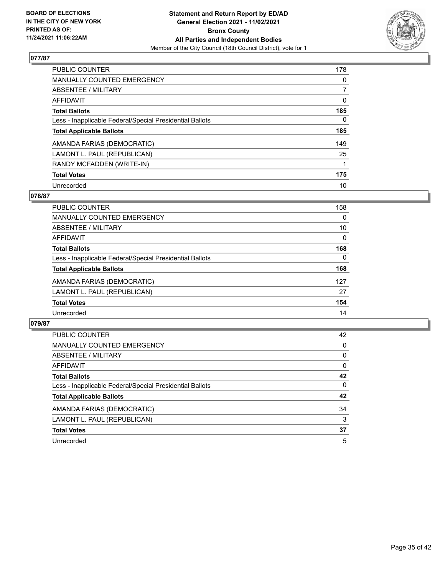

| PUBLIC COUNTER                                           | 178      |
|----------------------------------------------------------|----------|
| <b>MANUALLY COUNTED EMERGENCY</b>                        | $\Omega$ |
| ABSENTEE / MILITARY                                      |          |
| <b>AFFIDAVIT</b>                                         | 0        |
| <b>Total Ballots</b>                                     | 185      |
| Less - Inapplicable Federal/Special Presidential Ballots | 0        |
| <b>Total Applicable Ballots</b>                          | 185      |
| AMANDA FARIAS (DEMOCRATIC)                               | 149      |
| LAMONT L. PAUL (REPUBLICAN)                              | 25       |
| RANDY MCFADDEN (WRITE-IN)                                |          |
| <b>Total Votes</b>                                       | 175      |
| Unrecorded                                               | 10       |

## **078/87**

| PUBLIC COUNTER                                           | 158      |
|----------------------------------------------------------|----------|
| <b>MANUALLY COUNTED EMERGENCY</b>                        | 0        |
| ABSENTEE / MILITARY                                      | 10       |
| AFFIDAVIT                                                | $\Omega$ |
| <b>Total Ballots</b>                                     | 168      |
| Less - Inapplicable Federal/Special Presidential Ballots | $\Omega$ |
| <b>Total Applicable Ballots</b>                          | 168      |
| AMANDA FARIAS (DEMOCRATIC)                               | 127      |
| LAMONT L. PAUL (REPUBLICAN)                              | 27       |
| <b>Total Votes</b>                                       | 154      |
| Unrecorded                                               | 14       |

| PUBLIC COUNTER                                           | 42       |
|----------------------------------------------------------|----------|
| <b>MANUALLY COUNTED EMERGENCY</b>                        | $\Omega$ |
| ABSENTEE / MILITARY                                      | 0        |
| AFFIDAVIT                                                | $\Omega$ |
| <b>Total Ballots</b>                                     | 42       |
| Less - Inapplicable Federal/Special Presidential Ballots | $\Omega$ |
| <b>Total Applicable Ballots</b>                          | 42       |
| AMANDA FARIAS (DEMOCRATIC)                               | 34       |
| LAMONT L. PAUL (REPUBLICAN)                              | 3        |
| <b>Total Votes</b>                                       | 37       |
| Unrecorded                                               | 5        |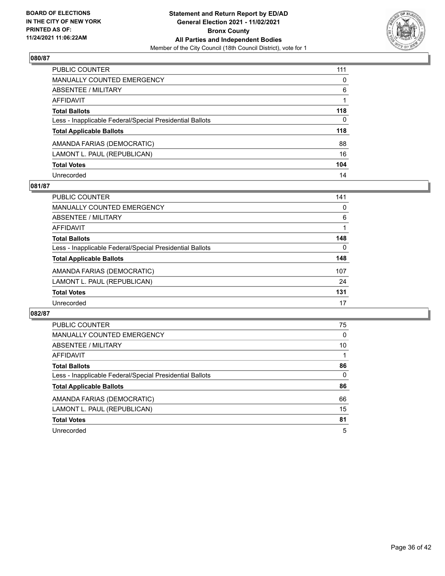

| PUBLIC COUNTER                                           | 111      |
|----------------------------------------------------------|----------|
| <b>MANUALLY COUNTED EMERGENCY</b>                        | $\Omega$ |
| <b>ABSENTEE / MILITARY</b>                               | 6        |
| <b>AFFIDAVIT</b>                                         |          |
| <b>Total Ballots</b>                                     | 118      |
| Less - Inapplicable Federal/Special Presidential Ballots | 0        |
| <b>Total Applicable Ballots</b>                          | 118      |
| AMANDA FARIAS (DEMOCRATIC)                               | 88       |
| LAMONT L. PAUL (REPUBLICAN)                              | 16       |
| <b>Total Votes</b>                                       | 104      |
| Unrecorded                                               | 14       |

## **081/87**

| PUBLIC COUNTER                                           | 141      |
|----------------------------------------------------------|----------|
| <b>MANUALLY COUNTED EMERGENCY</b>                        | 0        |
| ABSENTEE / MILITARY                                      | 6        |
| AFFIDAVIT                                                |          |
| <b>Total Ballots</b>                                     | 148      |
| Less - Inapplicable Federal/Special Presidential Ballots | $\Omega$ |
| <b>Total Applicable Ballots</b>                          | 148      |
| AMANDA FARIAS (DEMOCRATIC)                               | 107      |
| LAMONT L. PAUL (REPUBLICAN)                              | 24       |
| <b>Total Votes</b>                                       | 131      |
| Unrecorded                                               | 17       |

| PUBLIC COUNTER                                           | 75       |
|----------------------------------------------------------|----------|
| <b>MANUALLY COUNTED EMERGENCY</b>                        | $\Omega$ |
| ABSENTEE / MILITARY                                      | 10       |
| <b>AFFIDAVIT</b>                                         |          |
| <b>Total Ballots</b>                                     | 86       |
| Less - Inapplicable Federal/Special Presidential Ballots | $\Omega$ |
| <b>Total Applicable Ballots</b>                          | 86       |
| AMANDA FARIAS (DEMOCRATIC)                               | 66       |
| LAMONT L. PAUL (REPUBLICAN)                              | 15       |
| <b>Total Votes</b>                                       | 81       |
| Unrecorded                                               | 5        |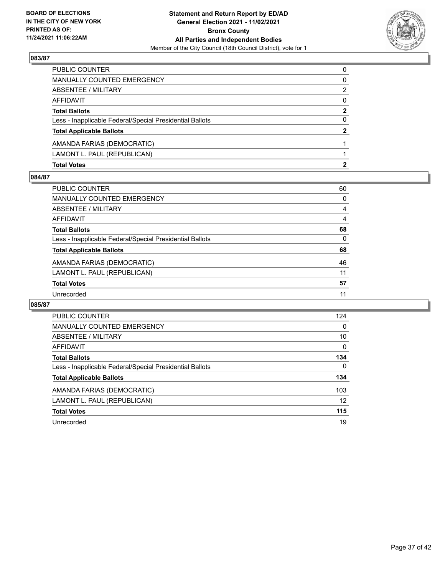

| <b>Total Votes</b>                                       | 2            |
|----------------------------------------------------------|--------------|
| LAMONT L. PAUL (REPUBLICAN)                              |              |
| AMANDA FARIAS (DEMOCRATIC)                               |              |
| <b>Total Applicable Ballots</b>                          | $\mathbf{2}$ |
| Less - Inapplicable Federal/Special Presidential Ballots | 0            |
| <b>Total Ballots</b>                                     | 2            |
| AFFIDAVIT                                                | 0            |
| <b>ABSENTEE / MILITARY</b>                               | 2            |
| MANUALLY COUNTED EMERGENCY                               | 0            |
| PUBLIC COUNTER                                           | $\Omega$     |

## **084/87**

| PUBLIC COUNTER                                           | 60       |
|----------------------------------------------------------|----------|
| <b>MANUALLY COUNTED EMERGENCY</b>                        | 0        |
| <b>ABSENTEE / MILITARY</b>                               | 4        |
| <b>AFFIDAVIT</b>                                         | 4        |
| <b>Total Ballots</b>                                     | 68       |
| Less - Inapplicable Federal/Special Presidential Ballots | $\Omega$ |
| <b>Total Applicable Ballots</b>                          | 68       |
| AMANDA FARIAS (DEMOCRATIC)                               | 46       |
| LAMONT L. PAUL (REPUBLICAN)                              | 11       |
| <b>Total Votes</b>                                       | 57       |
| Unrecorded                                               | 11       |
|                                                          |          |

| <b>PUBLIC COUNTER</b>                                    | 124      |
|----------------------------------------------------------|----------|
| <b>MANUALLY COUNTED EMERGENCY</b>                        | $\Omega$ |
| ABSENTEE / MILITARY                                      | 10       |
| <b>AFFIDAVIT</b>                                         | $\Omega$ |
| <b>Total Ballots</b>                                     | 134      |
| Less - Inapplicable Federal/Special Presidential Ballots | 0        |
| <b>Total Applicable Ballots</b>                          | 134      |
| AMANDA FARIAS (DEMOCRATIC)                               | 103      |
| LAMONT L. PAUL (REPUBLICAN)                              | 12       |
| <b>Total Votes</b>                                       | 115      |
| Unrecorded                                               | 19       |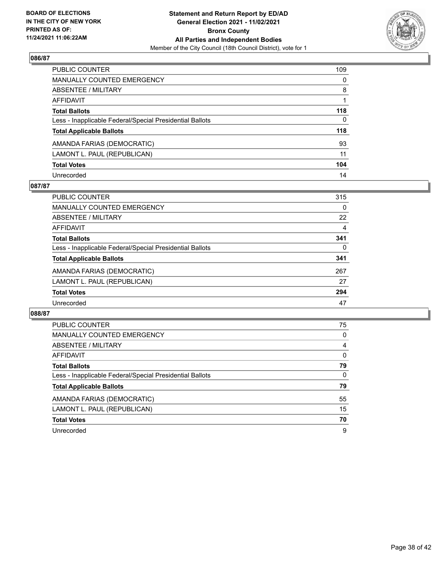

| PUBLIC COUNTER                                           | 109      |
|----------------------------------------------------------|----------|
| <b>MANUALLY COUNTED EMERGENCY</b>                        | $\Omega$ |
| <b>ABSENTEE / MILITARY</b>                               | 8        |
| <b>AFFIDAVIT</b>                                         |          |
| <b>Total Ballots</b>                                     | 118      |
| Less - Inapplicable Federal/Special Presidential Ballots | 0        |
| <b>Total Applicable Ballots</b>                          | 118      |
| AMANDA FARIAS (DEMOCRATIC)                               | 93       |
| LAMONT L. PAUL (REPUBLICAN)                              | 11       |
| <b>Total Votes</b>                                       | 104      |
| Unrecorded                                               | 14       |

## **087/87**

| PUBLIC COUNTER                                           | 315      |
|----------------------------------------------------------|----------|
| <b>MANUALLY COUNTED EMERGENCY</b>                        | 0        |
| ABSENTEE / MILITARY                                      | 22       |
| AFFIDAVIT                                                | 4        |
| <b>Total Ballots</b>                                     | 341      |
| Less - Inapplicable Federal/Special Presidential Ballots | $\Omega$ |
| <b>Total Applicable Ballots</b>                          | 341      |
| AMANDA FARIAS (DEMOCRATIC)                               | 267      |
| LAMONT L. PAUL (REPUBLICAN)                              | 27       |
| <b>Total Votes</b>                                       | 294      |
| Unrecorded                                               | 47       |

| PUBLIC COUNTER                                           | 75       |
|----------------------------------------------------------|----------|
| <b>MANUALLY COUNTED EMERGENCY</b>                        | 0        |
| ABSENTEE / MILITARY                                      | 4        |
| <b>AFFIDAVIT</b>                                         | $\Omega$ |
| <b>Total Ballots</b>                                     | 79       |
| Less - Inapplicable Federal/Special Presidential Ballots | $\Omega$ |
| <b>Total Applicable Ballots</b>                          | 79       |
| AMANDA FARIAS (DEMOCRATIC)                               | 55       |
| LAMONT L. PAUL (REPUBLICAN)                              | 15       |
|                                                          |          |
| <b>Total Votes</b>                                       | 70       |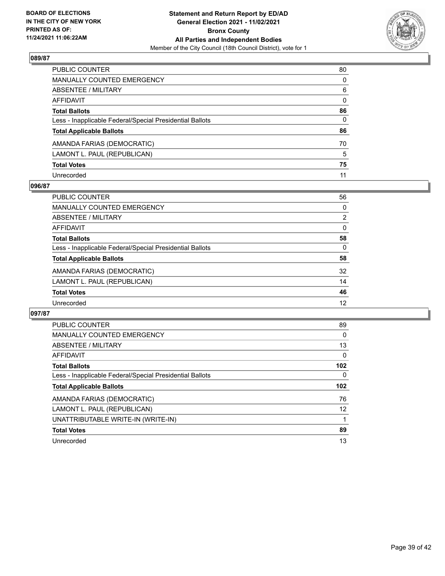

| PUBLIC COUNTER                                           | 80           |
|----------------------------------------------------------|--------------|
| <b>MANUALLY COUNTED EMERGENCY</b>                        | $\Omega$     |
| <b>ABSENTEE / MILITARY</b>                               | 6            |
| <b>AFFIDAVIT</b>                                         | $\mathbf{0}$ |
| <b>Total Ballots</b>                                     | 86           |
| Less - Inapplicable Federal/Special Presidential Ballots | 0            |
| <b>Total Applicable Ballots</b>                          | 86           |
| AMANDA FARIAS (DEMOCRATIC)                               | 70           |
| LAMONT L. PAUL (REPUBLICAN)                              | 5            |
| <b>Total Votes</b>                                       | 75           |
| Unrecorded                                               | 11           |

## **096/87**

| PUBLIC COUNTER                                           | 56             |
|----------------------------------------------------------|----------------|
| <b>MANUALLY COUNTED EMERGENCY</b>                        | $\Omega$       |
| ABSENTEE / MILITARY                                      | $\overline{2}$ |
| AFFIDAVIT                                                | $\Omega$       |
| <b>Total Ballots</b>                                     | 58             |
| Less - Inapplicable Federal/Special Presidential Ballots | $\Omega$       |
| <b>Total Applicable Ballots</b>                          | 58             |
| AMANDA FARIAS (DEMOCRATIC)                               | 32             |
| LAMONT L. PAUL (REPUBLICAN)                              | 14             |
| <b>Total Votes</b>                                       | 46             |
| Unrecorded                                               | 12             |

| PUBLIC COUNTER                                           | 89  |
|----------------------------------------------------------|-----|
| MANUALLY COUNTED EMERGENCY                               | 0   |
| ABSENTEE / MILITARY                                      | 13  |
| <b>AFFIDAVIT</b>                                         | 0   |
| <b>Total Ballots</b>                                     | 102 |
| Less - Inapplicable Federal/Special Presidential Ballots | 0   |
|                                                          |     |
| <b>Total Applicable Ballots</b>                          | 102 |
| AMANDA FARIAS (DEMOCRATIC)                               | 76  |
| LAMONT L. PAUL (REPUBLICAN)                              | 12  |
| UNATTRIBUTABLE WRITE-IN (WRITE-IN)                       |     |
| <b>Total Votes</b>                                       | 89  |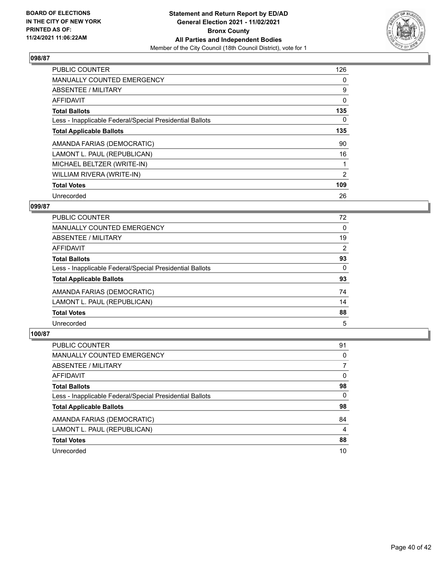

| PUBLIC COUNTER                                           | 126            |
|----------------------------------------------------------|----------------|
| <b>MANUALLY COUNTED EMERGENCY</b>                        | 0              |
| ABSENTEE / MILITARY                                      | 9              |
| AFFIDAVIT                                                | 0              |
| <b>Total Ballots</b>                                     | 135            |
| Less - Inapplicable Federal/Special Presidential Ballots | 0              |
| <b>Total Applicable Ballots</b>                          | 135            |
| AMANDA FARIAS (DEMOCRATIC)                               | 90             |
| LAMONT L. PAUL (REPUBLICAN)                              | 16             |
| MICHAEL BELTZER (WRITE-IN)                               |                |
| WILLIAM RIVERA (WRITE-IN)                                | $\overline{2}$ |
| <b>Total Votes</b>                                       | 109            |
| Unrecorded                                               | 26             |

## **099/87**

| PUBLIC COUNTER                                           | 72       |
|----------------------------------------------------------|----------|
| <b>MANUALLY COUNTED EMERGENCY</b>                        | $\Omega$ |
| ABSENTEE / MILITARY                                      | 19       |
| <b>AFFIDAVIT</b>                                         | 2        |
| <b>Total Ballots</b>                                     | 93       |
| Less - Inapplicable Federal/Special Presidential Ballots | $\Omega$ |
| <b>Total Applicable Ballots</b>                          | 93       |
| AMANDA FARIAS (DEMOCRATIC)                               | 74       |
| LAMONT L. PAUL (REPUBLICAN)                              | 14       |
| <b>Total Votes</b>                                       | 88       |
| Unrecorded                                               | 5        |

| PUBLIC COUNTER                                           | 91 |
|----------------------------------------------------------|----|
| <b>MANUALLY COUNTED EMERGENCY</b>                        | 0  |
| ABSENTEE / MILITARY                                      |    |
| AFFIDAVIT                                                | 0  |
| <b>Total Ballots</b>                                     | 98 |
| Less - Inapplicable Federal/Special Presidential Ballots | 0  |
| <b>Total Applicable Ballots</b>                          | 98 |
| AMANDA FARIAS (DEMOCRATIC)                               | 84 |
| LAMONT L. PAUL (REPUBLICAN)                              | 4  |
| <b>Total Votes</b>                                       | 88 |
| Unrecorded                                               | 10 |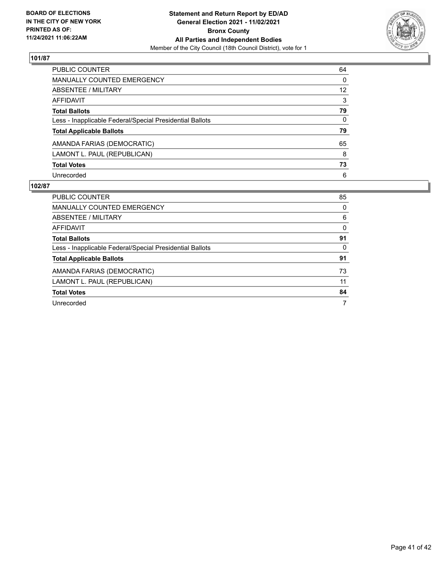

| <b>PUBLIC COUNTER</b>                                    | 64                |
|----------------------------------------------------------|-------------------|
| <b>MANUALLY COUNTED EMERGENCY</b>                        | 0                 |
| ABSENTEE / MILITARY                                      | $12 \overline{ }$ |
| AFFIDAVIT                                                | 3                 |
| <b>Total Ballots</b>                                     | 79                |
| Less - Inapplicable Federal/Special Presidential Ballots | 0                 |
| <b>Total Applicable Ballots</b>                          | 79                |
| AMANDA FARIAS (DEMOCRATIC)                               | 65                |
| LAMONT L. PAUL (REPUBLICAN)                              | 8                 |
| <b>Total Votes</b>                                       | 73                |
| Unrecorded                                               | 6                 |

| PUBLIC COUNTER                                           | 85       |
|----------------------------------------------------------|----------|
| <b>MANUALLY COUNTED EMERGENCY</b>                        | $\Omega$ |
| ABSENTEE / MILITARY                                      | 6        |
| AFFIDAVIT                                                | $\Omega$ |
| <b>Total Ballots</b>                                     | 91       |
| Less - Inapplicable Federal/Special Presidential Ballots | 0        |
| <b>Total Applicable Ballots</b>                          | 91       |
| AMANDA FARIAS (DEMOCRATIC)                               | 73       |
| LAMONT L. PAUL (REPUBLICAN)                              | 11       |
| <b>Total Votes</b>                                       | 84       |
| Unrecorded                                               | 7        |